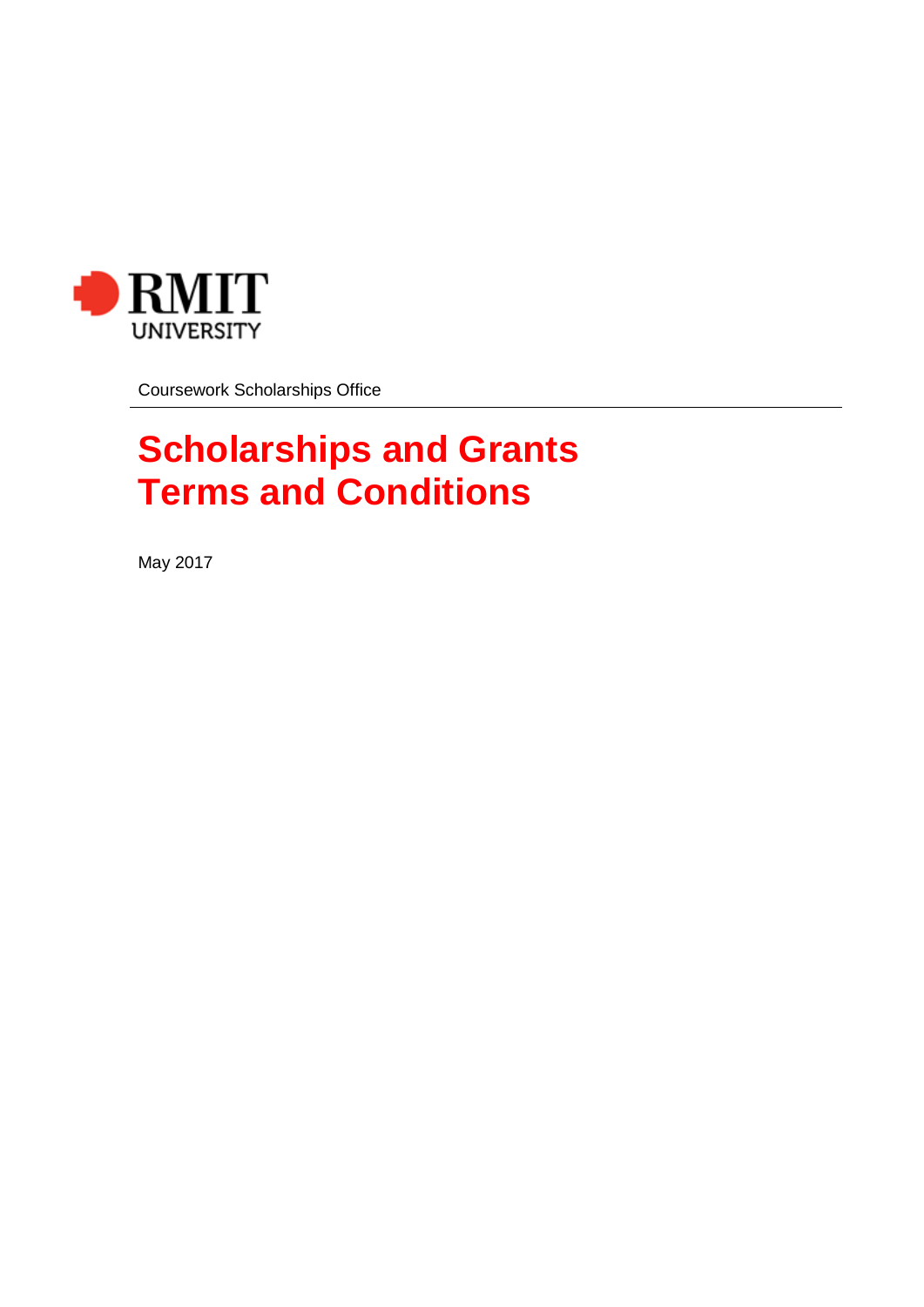

Coursework Scholarships Office

# **Scholarships and Grants Terms and Conditions**

May 2017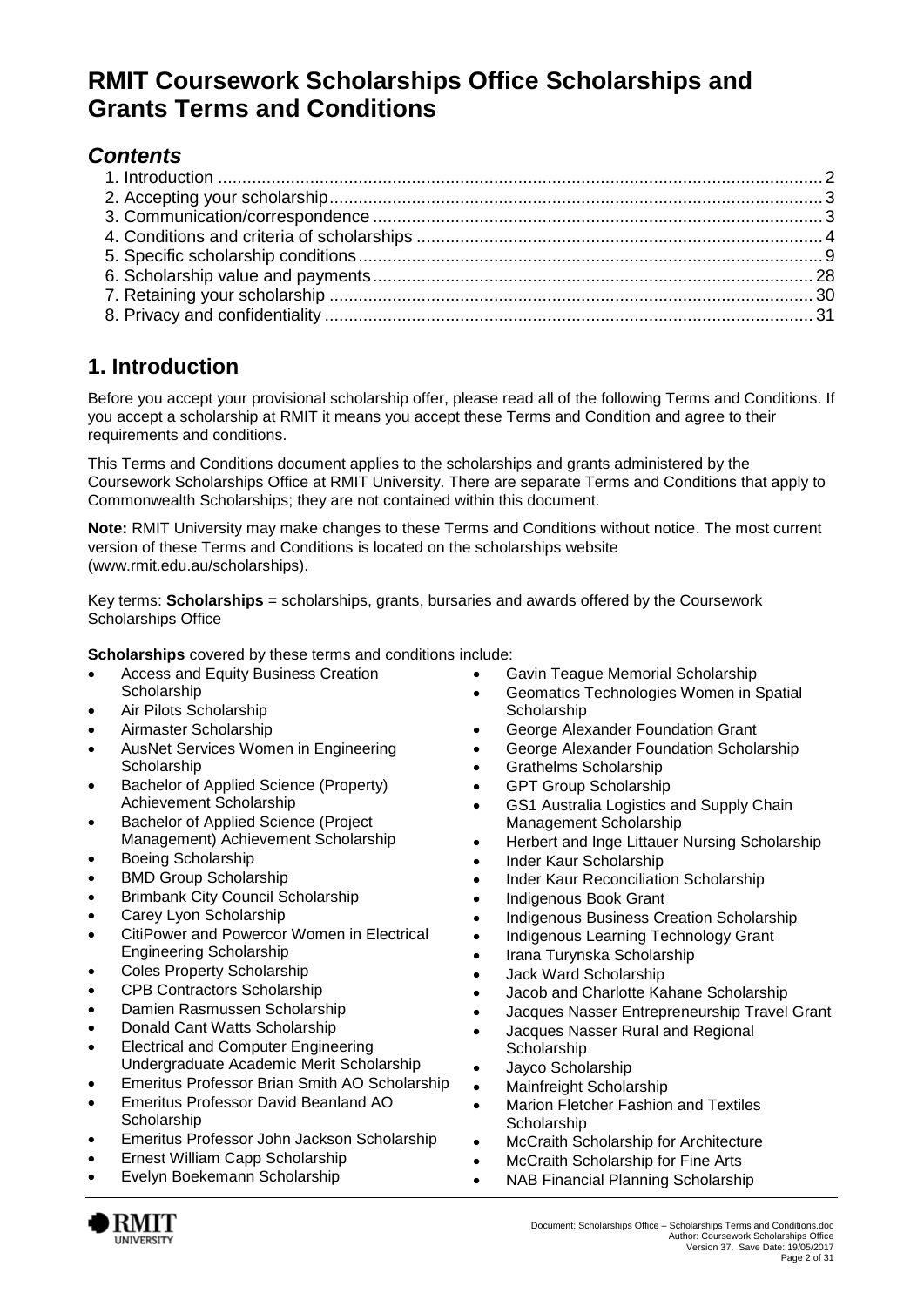# **RMIT Coursework Scholarships Office Scholarships and Grants Terms and Conditions**

# *Contents*

# <span id="page-1-0"></span>**1. Introduction**

Before you accept your provisional scholarship offer, please read all of the following Terms and Conditions. If you accept a scholarship at RMIT it means you accept these Terms and Condition and agree to their requirements and conditions.

This Terms and Conditions document applies to the scholarships and grants administered by the Coursework Scholarships Office at RMIT University. There are separate Terms and Conditions that apply to Commonwealth Scholarships; they are not contained within this document.

**Note:** RMIT University may make changes to these Terms and Conditions without notice. The most current version of these Terms and Conditions is located on the scholarships website [\(www.rmit.edu.au/scholarships\)](http://www.rmit.edu.au/scholarships).

Key terms: **Scholarships** = scholarships, grants, bursaries and awards offered by the Coursework Scholarships Office

**Scholarships** covered by these terms and conditions include:

- Access and Equity Business Creation **Scholarship**
- Air Pilots Scholarship
- Airmaster Scholarship
- AusNet Services Women in Engineering **Scholarship**
- Bachelor of Applied Science (Property) Achievement Scholarship
- **•** Bachelor of Applied Science (Project Management) Achievement Scholarship
- Boeing Scholarship
- BMD Group Scholarship
- Brimbank City Council Scholarship
- Carey Lyon Scholarship
- CitiPower and Powercor Women in Electrical Engineering Scholarship
- Coles Property Scholarship
- CPB Contractors Scholarship
- Damien Rasmussen Scholarship
- Donald Cant Watts Scholarship
- Electrical and Computer Engineering Undergraduate Academic Merit Scholarship
- Emeritus Professor Brian Smith AO Scholarship
- Emeritus Professor David Beanland AO **Scholarship**
- Emeritus Professor John Jackson Scholarship
- Ernest William Capp Scholarship
- Evelyn Boekemann Scholarship
- Gavin Teague Memorial Scholarship
- Geomatics Technologies Women in Spatial **Scholarship**
- George Alexander Foundation Grant
- George Alexander Foundation Scholarship
- Grathelms Scholarship
- GPT Group Scholarship
- GS1 Australia Logistics and Supply Chain Management Scholarship
- Herbert and Inge Littauer Nursing Scholarship
- Inder Kaur Scholarship
- Inder Kaur Reconciliation Scholarship
- Indigenous Book Grant
- Indigenous Business Creation Scholarship
- Indigenous Learning Technology Grant
- Irana Turynska Scholarship
- Jack Ward Scholarship
- Jacob and Charlotte Kahane Scholarship
- Jacques Nasser Entrepreneurship Travel Grant
- Jacques Nasser Rural and Regional **Scholarship**
- Jayco Scholarship
- Mainfreight Scholarship
- Marion Fletcher Fashion and Textiles **Scholarship**
- McCraith Scholarship for Architecture
- McCraith Scholarship for Fine Arts
- NAB Financial Planning Scholarship

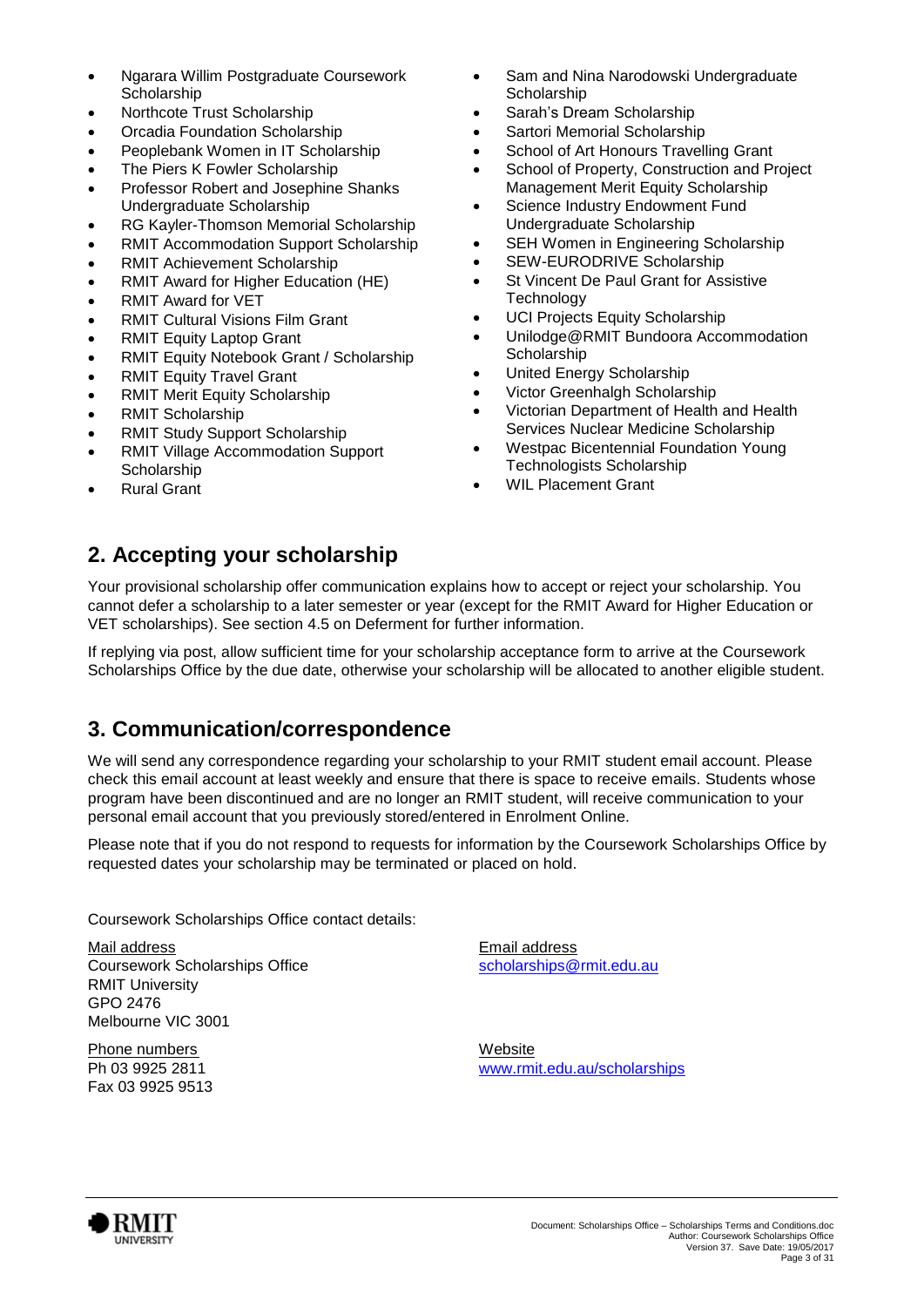- Ngarara Willim Postgraduate Coursework **Scholarship**
- Northcote Trust Scholarship
- Orcadia Foundation Scholarship
- Peoplebank Women in IT Scholarship
- The Piers K Fowler Scholarship
- Professor Robert and Josephine Shanks Undergraduate Scholarship
- RG Kayler-Thomson Memorial Scholarship
- RMIT Accommodation Support Scholarship
- RMIT Achievement Scholarship
- RMIT Award for Higher Education (HE)
- RMIT Award for VET
- RMIT Cultural Visions Film Grant
- RMIT Equity Laptop Grant
- RMIT Equity Notebook Grant / Scholarship
- RMIT Equity Travel Grant
- **RMIT Merit Equity Scholarship**
- RMIT Scholarship
- RMIT Study Support Scholarship
- RMIT Village Accommodation Support **Scholarship**
- Rural Grant
- Sam and Nina Narodowski Undergraduate **Scholarship**
- Sarah's Dream Scholarship
- Sartori Memorial Scholarship
- **•** School of Art Honours Travelling Grant
- School of Property, Construction and Project Management Merit Equity Scholarship
- Science Industry Endowment Fund Undergraduate Scholarship
- SEH Women in Engineering Scholarship
- SEW-EURODRIVE Scholarship
- St Vincent De Paul Grant for Assistive **Technology**
- UCI Projects Equity Scholarship
- Unilodge@RMIT Bundoora Accommodation **Scholarship**
- United Energy Scholarship
- Victor Greenhalgh Scholarship
- Victorian Department of Health and Health Services Nuclear Medicine Scholarship
- Westpac Bicentennial Foundation Young Technologists Scholarship
- WIL Placement Grant

# <span id="page-2-0"></span>**2. Accepting your scholarship**

Your provisional scholarship offer communication explains how to accept or reject your scholarship. You cannot defer a scholarship to a later semester or year (except for the RMIT Award for Higher Education or VET scholarships). See section 4.5 on Deferment for further information.

If replying via post, allow sufficient time for your scholarship acceptance form to arrive at the Coursework Scholarships Office by the due date, otherwise your scholarship will be allocated to another eligible student.

# <span id="page-2-1"></span>**3. Communication/correspondence**

We will send any correspondence regarding your scholarship to your RMIT student email account. Please check this email account at least weekly and ensure that there is space to receive emails. Students whose program have been discontinued and are no longer an RMIT student, will receive communication to your personal email account that you previously stored/entered in Enrolment Online.

Please note that if you do not respond to requests for information by the Coursework Scholarships Office by requested dates your scholarship may be terminated or placed on hold.

Coursework Scholarships Office contact details:

Mail address Email address Coursework Scholarships Office scholarships of [scholarships@rmit.edu.au](mailto:scholarships@rmit.edu.au) RMIT University GPO 2476 Melbourne VIC 3001

Phone numbers Website Fax 03 9925 9513

Ph 03 9925 2811 [www.rmit.edu.au/scholarships](http://www.rmit.edu.au/scholarships)

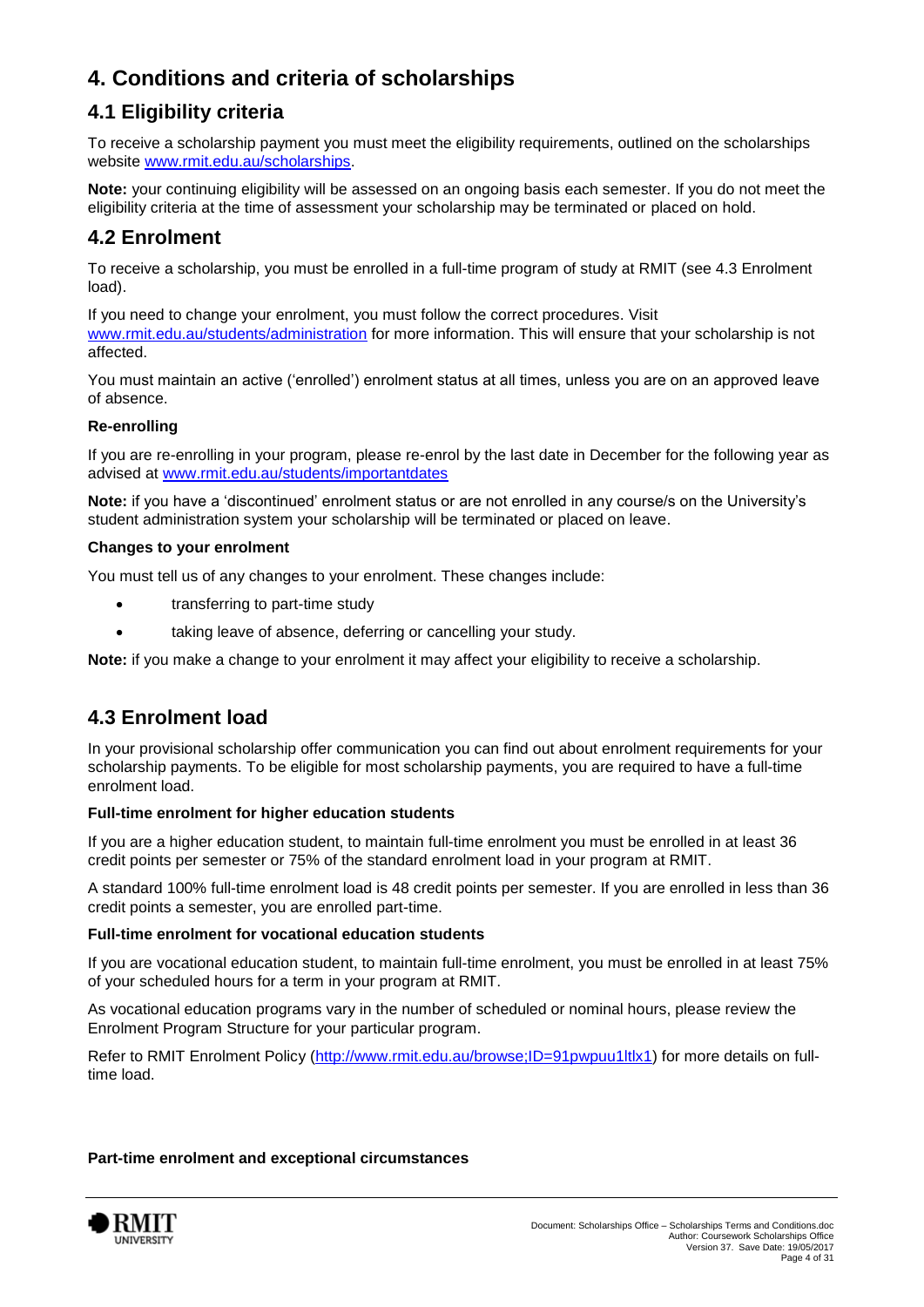# <span id="page-3-0"></span>**4. Conditions and criteria of scholarships**

# **4.1 Eligibility criteria**

To receive a scholarship payment you must meet the eligibility requirements, outlined on the scholarships website [www.rmit.edu.au/scholarships.](http://www.rmit.edu.au/scholarships)

**Note:** your continuing eligibility will be assessed on an ongoing basis each semester. If you do not meet the eligibility criteria at the time of assessment your scholarship may be terminated or placed on hold.

### **4.2 Enrolment**

To receive a scholarship, you must be enrolled in a full-time program of study at RMIT (see 4.3 Enrolment load).

If you need to change your enrolment, you must follow the correct procedures. Visit [www.rmit.edu.au/students/administration](http://www.rmit.edu.au/students/administration) for more information. This will ensure that your scholarship is not affected.

You must maintain an active ('enrolled') enrolment status at all times, unless you are on an approved leave of absence.

#### **Re-enrolling**

If you are re-enrolling in your program, please re-enrol by the last date in December for the following year as advised at [www.rmit.edu.au/students/importantdates](http://www.rmit.edu.au/students/importantdates)

**Note:** if you have a 'discontinued' enrolment status or are not enrolled in any course/s on the University's student administration system your scholarship will be terminated or placed on leave.

#### **Changes to your enrolment**

You must tell us of any changes to your enrolment. These changes include:

- transferring to part-time study
- taking leave of absence, deferring or cancelling your study.

**Note:** if you make a change to your enrolment it may affect your eligibility to receive a scholarship.

### **4.3 Enrolment load**

In your provisional scholarship offer communication you can find out about enrolment requirements for your scholarship payments. To be eligible for most scholarship payments, you are required to have a full-time enrolment load.

#### **Full-time enrolment for higher education students**

If you are a higher education student, to maintain full-time enrolment you must be enrolled in at least 36 credit points per semester or 75% of the standard enrolment load in your program at RMIT.

A standard 100% full-time enrolment load is 48 credit points per semester. If you are enrolled in less than 36 credit points a semester, you are enrolled part-time.

#### **Full-time enrolment for vocational education students**

If you are vocational education student, to maintain full-time enrolment, you must be enrolled in at least 75% of your scheduled hours for a term in your program at RMIT.

As vocational education programs vary in the number of scheduled or nominal hours, please review the Enrolment Program Structure for your particular program.

Refer to RMIT Enrolment Policy [\(http://www.rmit.edu.au/browse;ID=91pwpuu1ltlx1\)](http://www.rmit.edu.au/browse;ID=91pwpuu1ltlx1) for more details on fulltime load.

#### **Part-time enrolment and exceptional circumstances**

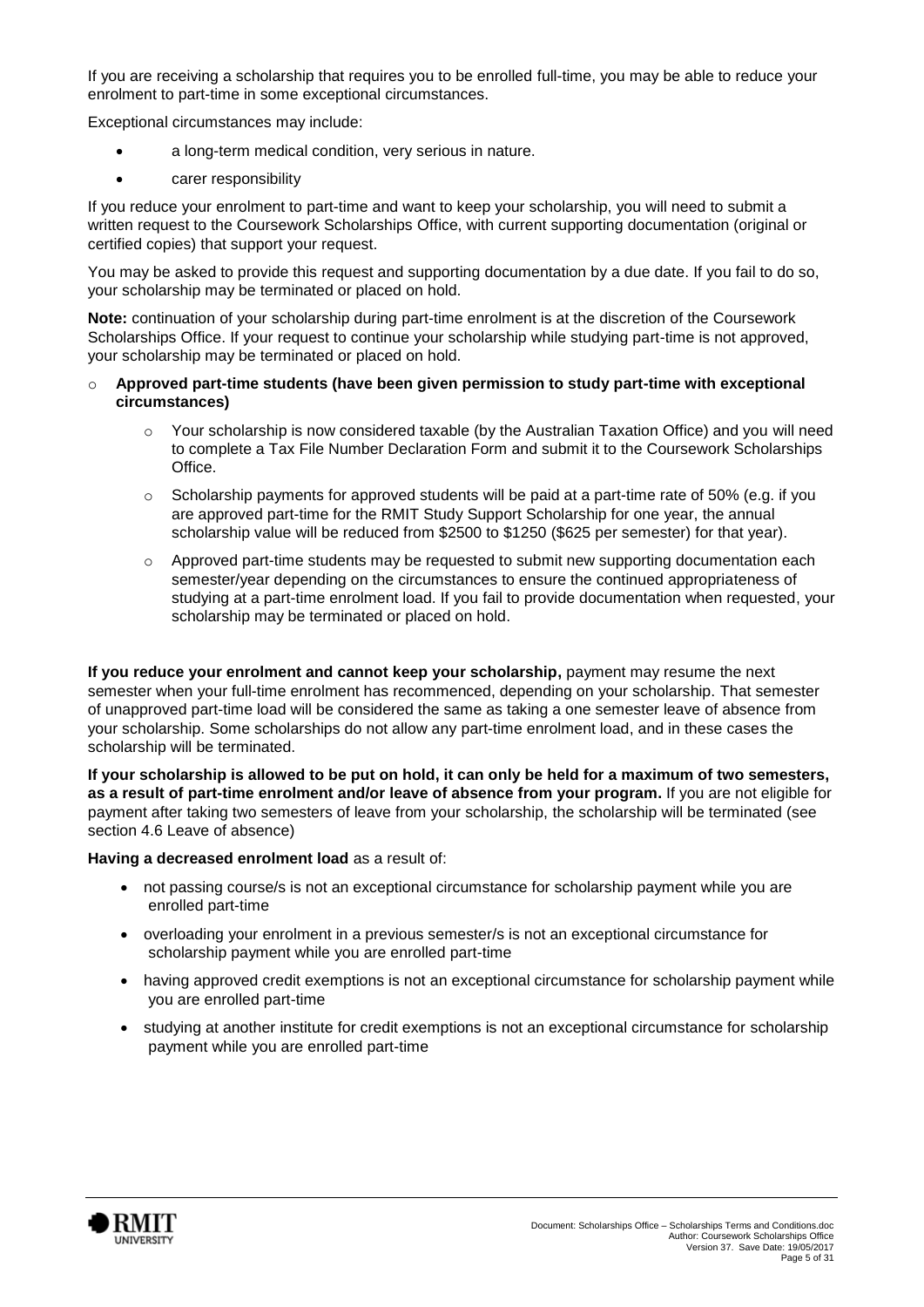If you are receiving a scholarship that requires you to be enrolled full-time, you may be able to reduce your enrolment to part-time in some exceptional circumstances.

Exceptional circumstances may include:

- a long-term medical condition, very serious in nature.
- carer responsibility

If you reduce your enrolment to part-time and want to keep your scholarship, you will need to submit a written request to the Coursework Scholarships Office, with current supporting documentation (original or certified copies) that support your request.

You may be asked to provide this request and supporting documentation by a due date. If you fail to do so, your scholarship may be terminated or placed on hold.

**Note:** continuation of your scholarship during part-time enrolment is at the discretion of the Coursework Scholarships Office. If your request to continue your scholarship while studying part-time is not approved. your scholarship may be terminated or placed on hold.

#### o **Approved part-time students (have been given permission to study part-time with exceptional circumstances)**

- o Your scholarship is now considered taxable (by the Australian Taxation Office) and you will need to complete a Tax File Number Declaration Form and submit it to the Coursework Scholarships Office.
- $\circ$  Scholarship payments for approved students will be paid at a part-time rate of 50% (e.g. if you are approved part-time for the RMIT Study Support Scholarship for one year, the annual scholarship value will be reduced from \$2500 to \$1250 (\$625 per semester) for that year).
- o Approved part-time students may be requested to submit new supporting documentation each semester/year depending on the circumstances to ensure the continued appropriateness of studying at a part-time enrolment load. If you fail to provide documentation when requested, your scholarship may be terminated or placed on hold.

**If you reduce your enrolment and cannot keep your scholarship,** payment may resume the next semester when your full-time enrolment has recommenced, depending on your scholarship. That semester of unapproved part-time load will be considered the same as taking a one semester leave of absence from your scholarship. Some scholarships do not allow any part-time enrolment load, and in these cases the scholarship will be terminated.

**If your scholarship is allowed to be put on hold, it can only be held for a maximum of two semesters, as a result of part-time enrolment and/or leave of absence from your program.** If you are not eligible for payment after taking two semesters of leave from your scholarship, the scholarship will be terminated (see section 4.6 Leave of absence)

#### **Having a decreased enrolment load** as a result of:

- not passing course/s is not an exceptional circumstance for scholarship payment while you are enrolled part-time
- overloading your enrolment in a previous semester/s is not an exceptional circumstance for scholarship payment while you are enrolled part-time
- having approved credit exemptions is not an exceptional circumstance for scholarship payment while you are enrolled part-time
- studying at another institute for credit exemptions is not an exceptional circumstance for scholarship payment while you are enrolled part-time

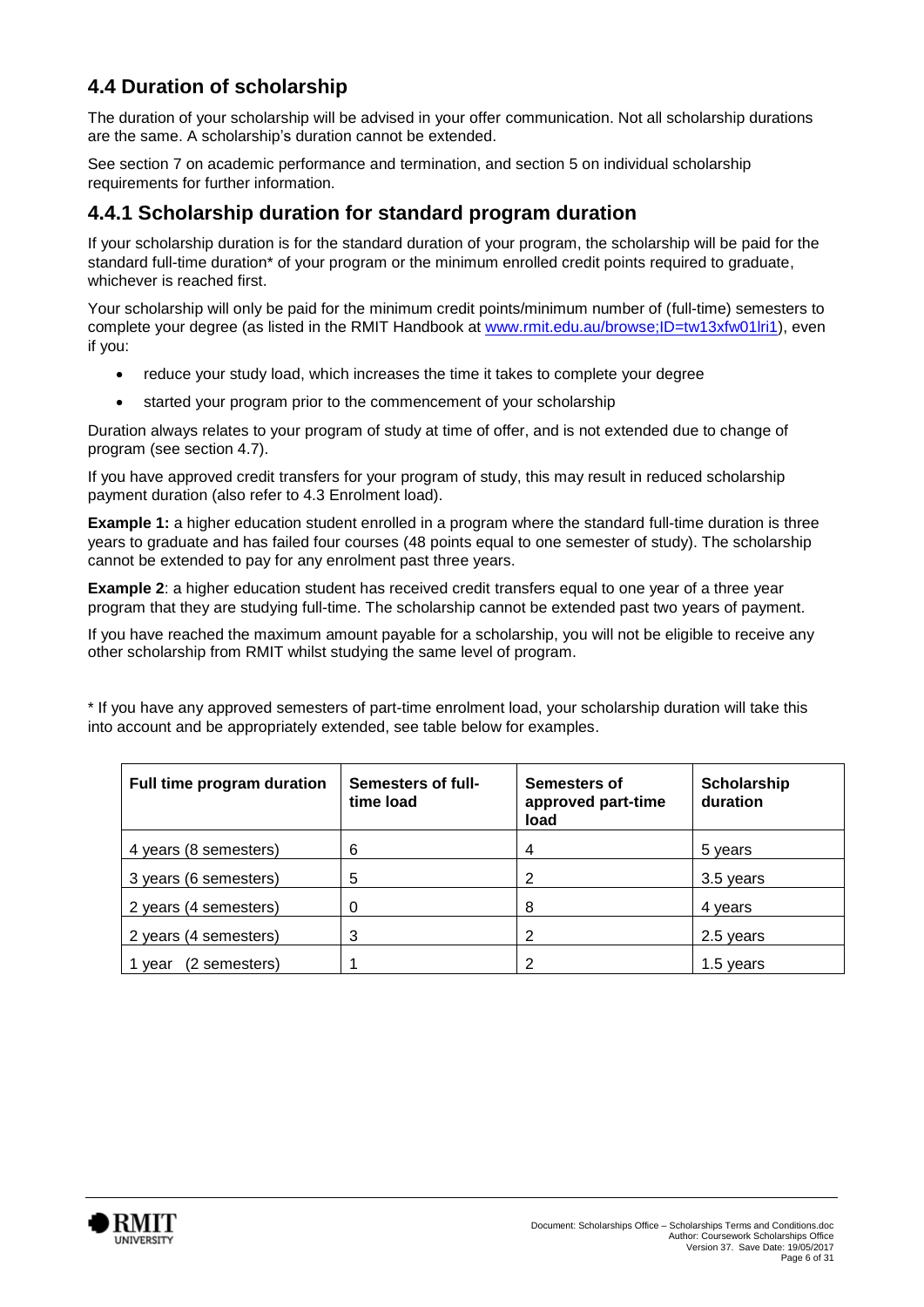### **4.4 Duration of scholarship**

The duration of your scholarship will be advised in your offer communication. Not all scholarship durations are the same. A scholarship's duration cannot be extended.

See section 7 on academic performance and termination, and section 5 on individual scholarship requirements for further information.

### **4.4.1 Scholarship duration for standard program duration**

If your scholarship duration is for the standard duration of your program, the scholarship will be paid for the standard full-time duration<sup>\*</sup> of your program or the minimum enrolled credit points required to graduate. whichever is reached first.

Your scholarship will only be paid for the minimum credit points/minimum number of (full-time) semesters to complete your degree (as listed in the RMIT Handbook at [www.rmit.edu.au/browse;ID=tw13xfw01lri1\)](http://www.rmit.edu.au/browse;ID=tw13xfw01lri1), even if you:

- reduce your study load, which increases the time it takes to complete your degree
- started your program prior to the commencement of your scholarship

Duration always relates to your program of study at time of offer, and is not extended due to change of program (see section 4.7).

If you have approved credit transfers for your program of study, this may result in reduced scholarship payment duration (also refer to 4.3 Enrolment load).

**Example 1:** a higher education student enrolled in a program where the standard full-time duration is three years to graduate and has failed four courses (48 points equal to one semester of study). The scholarship cannot be extended to pay for any enrolment past three years.

**Example 2:** a higher education student has received credit transfers equal to one year of a three year program that they are studying full-time. The scholarship cannot be extended past two years of payment.

If you have reached the maximum amount payable for a scholarship, you will not be eligible to receive any other scholarship from RMIT whilst studying the same level of program.

\* If you have any approved semesters of part-time enrolment load, your scholarship duration will take this into account and be appropriately extended, see table below for examples.

| Full time program duration | Semesters of full-<br>time load | Semesters of<br>approved part-time<br>load | Scholarship<br>duration |
|----------------------------|---------------------------------|--------------------------------------------|-------------------------|
| 4 years (8 semesters)      | 6                               | 4                                          | 5 years                 |
| 3 years (6 semesters)      | 5                               | 2                                          | 3.5 years               |
| 2 years (4 semesters)      | 0                               | 8                                          | 4 years                 |
| 2 years (4 semesters)      | 3                               | 2                                          | 2.5 years               |
| (2 semesters)<br>vear      |                                 | 2                                          | 1.5 years               |

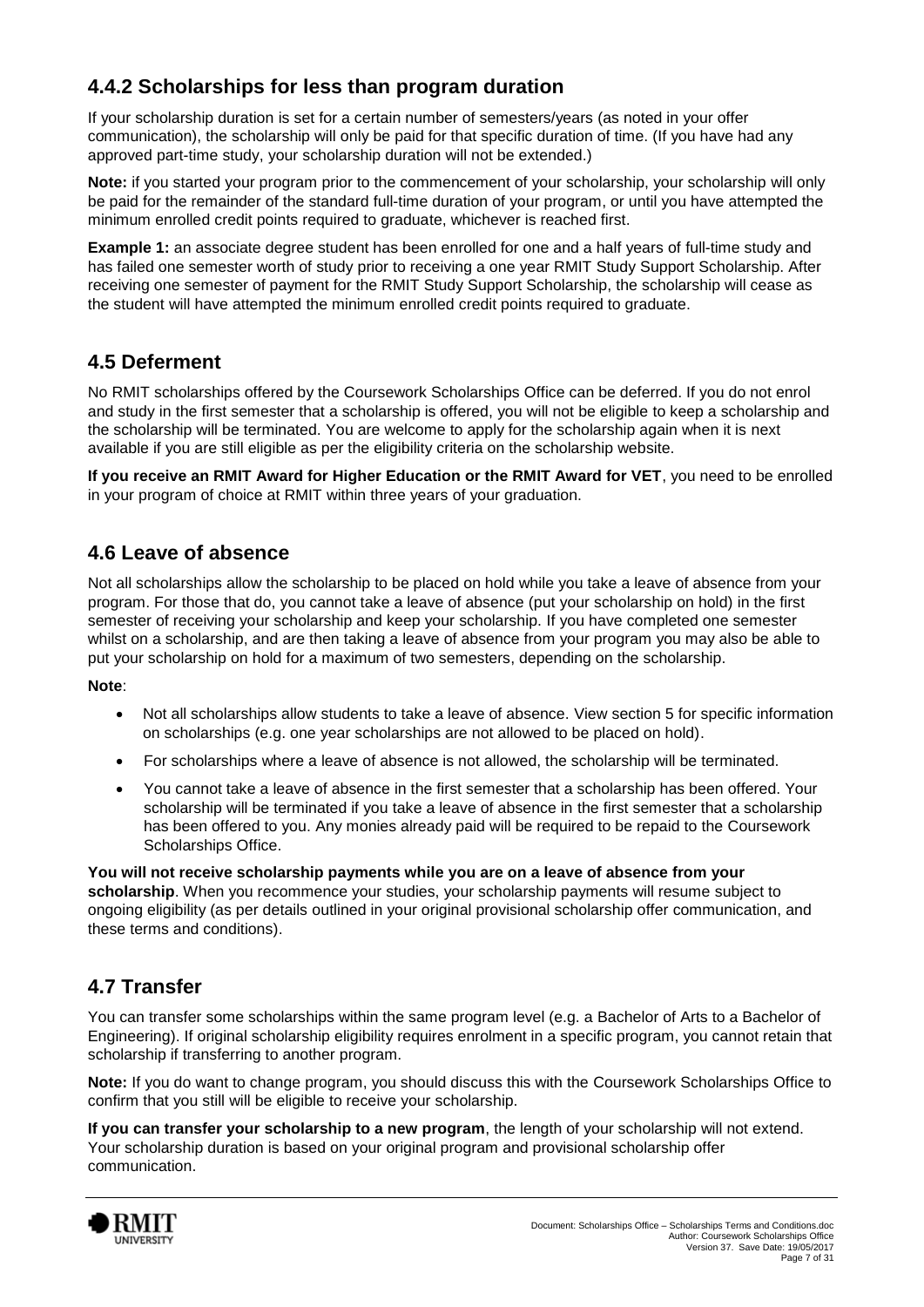### **4.4.2 Scholarships for less than program duration**

If your scholarship duration is set for a certain number of semesters/years (as noted in your offer communication), the scholarship will only be paid for that specific duration of time. (If you have had any approved part-time study, your scholarship duration will not be extended.)

**Note:** if you started your program prior to the commencement of your scholarship, your scholarship will only be paid for the remainder of the standard full-time duration of your program, or until you have attempted the minimum enrolled credit points required to graduate, whichever is reached first.

**Example 1:** an associate degree student has been enrolled for one and a half years of full-time study and has failed one semester worth of study prior to receiving a one year RMIT Study Support Scholarship. After receiving one semester of payment for the RMIT Study Support Scholarship, the scholarship will cease as the student will have attempted the minimum enrolled credit points required to graduate.

### **4.5 Deferment**

No RMIT scholarships offered by the Coursework Scholarships Office can be deferred. If you do not enrol and study in the first semester that a scholarship is offered, you will not be eligible to keep a scholarship and the scholarship will be terminated. You are welcome to apply for the scholarship again when it is next available if you are still eligible as per the eligibility criteria on the scholarship website.

**If you receive an RMIT Award for Higher Education or the RMIT Award for VET**, you need to be enrolled in your program of choice at RMIT within three years of your graduation.

### **4.6 Leave of absence**

Not all scholarships allow the scholarship to be placed on hold while you take a leave of absence from your program. For those that do, you cannot take a leave of absence (put your scholarship on hold) in the first semester of receiving your scholarship and keep your scholarship. If you have completed one semester whilst on a scholarship, and are then taking a leave of absence from your program you may also be able to put your scholarship on hold for a maximum of two semesters, depending on the scholarship.

#### **Note**:

- Not all scholarships allow students to take a leave of absence. View section 5 for specific information on scholarships (e.g. one year scholarships are not allowed to be placed on hold).
- For scholarships where a leave of absence is not allowed, the scholarship will be terminated.
- You cannot take a leave of absence in the first semester that a scholarship has been offered. Your scholarship will be terminated if you take a leave of absence in the first semester that a scholarship has been offered to you. Any monies already paid will be required to be repaid to the Coursework Scholarships Office.

**You will not receive scholarship payments while you are on a leave of absence from your scholarship**. When you recommence your studies, your scholarship payments will resume subject to ongoing eligibility (as per details outlined in your original provisional scholarship offer communication, and these terms and conditions).

### **4.7 Transfer**

You can transfer some scholarships within the same program level (e.g. a Bachelor of Arts to a Bachelor of Engineering). If original scholarship eligibility requires enrolment in a specific program, you cannot retain that scholarship if transferring to another program.

**Note:** If you do want to change program, you should discuss this with the Coursework Scholarships Office to confirm that you still will be eligible to receive your scholarship.

**If you can transfer your scholarship to a new program**, the length of your scholarship will not extend. Your scholarship duration is based on your original program and provisional scholarship offer communication.

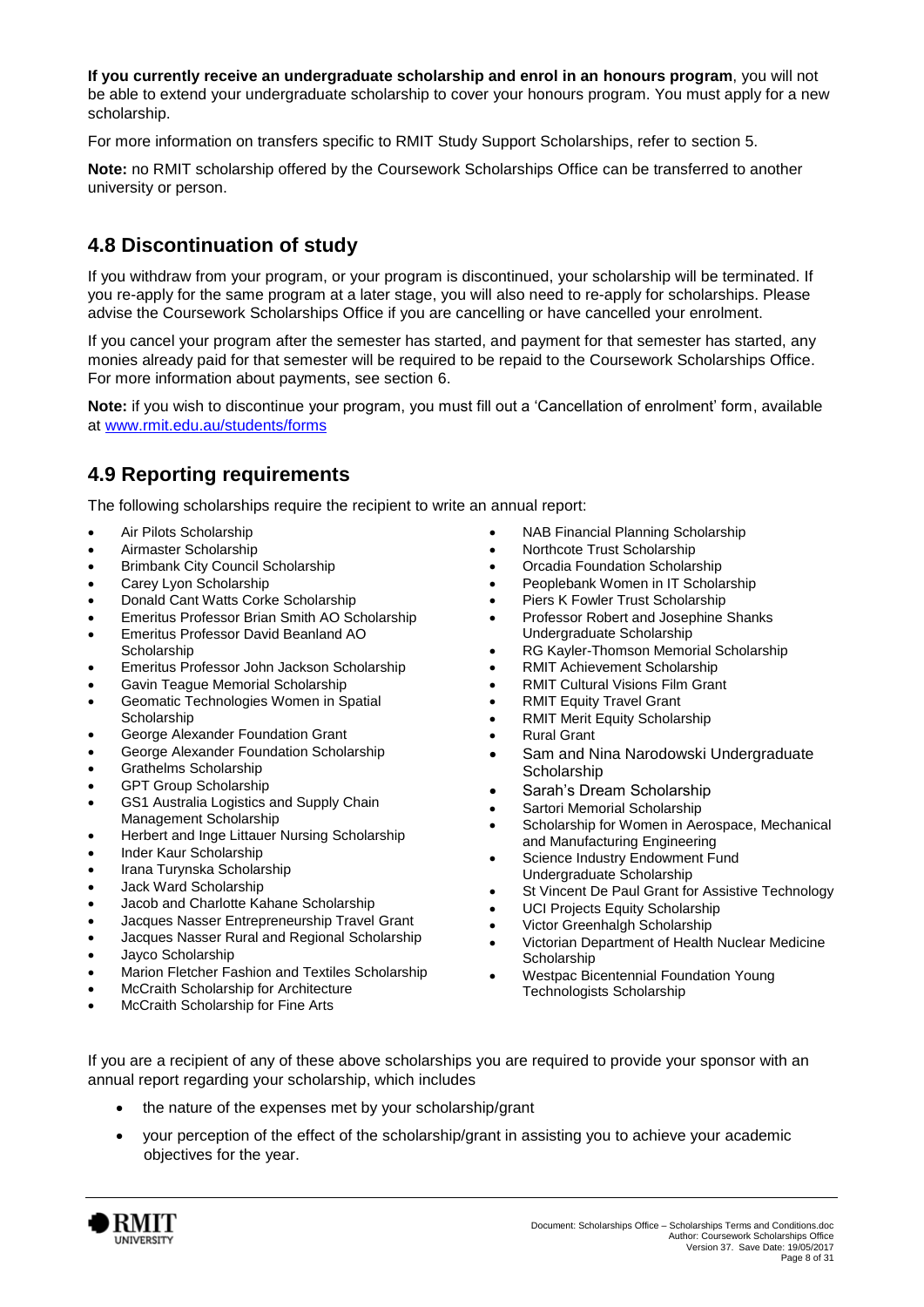**If you currently receive an undergraduate scholarship and enrol in an honours program**, you will not be able to extend your undergraduate scholarship to cover your honours program. You must apply for a new scholarship.

For more information on transfers specific to RMIT Study Support Scholarships, refer to section 5.

**Note:** no RMIT scholarship offered by the Coursework Scholarships Office can be transferred to another university or person.

### **4.8 Discontinuation of study**

If you withdraw from your program, or your program is discontinued, your scholarship will be terminated. If you re-apply for the same program at a later stage, you will also need to re-apply for scholarships. Please advise the Coursework Scholarships Office if you are cancelling or have cancelled your enrolment.

If you cancel your program after the semester has started, and payment for that semester has started, any monies already paid for that semester will be required to be repaid to the Coursework Scholarships Office. For more information about payments, see section 6.

**Note:** if you wish to discontinue your program, you must fill out a 'Cancellation of enrolment' form, available at [www.rmit.edu.au/students/forms](http://www.rmit.edu.au/students/forms)

### **4.9 Reporting requirements**

The following scholarships require the recipient to write an annual report:

- Air Pilots Scholarship
- Airmaster Scholarship
- Brimbank City Council Scholarship
- Carey Lyon Scholarship
- Donald Cant Watts Corke Scholarship
- Emeritus Professor Brian Smith AO Scholarship
- Emeritus Professor David Beanland AO
- **Scholarship**
- Emeritus Professor John Jackson Scholarship
- Gavin Teague Memorial Scholarship
- Geomatic Technologies Women in Spatial Scholarship
- George Alexander Foundation Grant
- George Alexander Foundation Scholarship
- Grathelms Scholarship
- GPT Group Scholarship
- GS1 Australia Logistics and Supply Chain Management Scholarship
- Herbert and Inge Littauer Nursing Scholarship
- Inder Kaur Scholarship
- Irana Turynska Scholarship
- Jack Ward Scholarship
- Jacob and Charlotte Kahane Scholarship
- Jacques Nasser Entrepreneurship Travel Grant
- Jacques Nasser Rural and Regional Scholarship
- Jayco Scholarship
- Marion Fletcher Fashion and Textiles Scholarship
- McCraith Scholarship for Architecture
- McCraith Scholarship for Fine Arts
- NAB Financial Planning Scholarship
- Northcote Trust Scholarship
- Orcadia Foundation Scholarship
- Peoplebank Women in IT Scholarship
- Piers K Fowler Trust Scholarship
- Professor Robert and Josephine Shanks Undergraduate Scholarship
- RG Kayler-Thomson Memorial Scholarship
- RMIT Achievement Scholarship
- RMIT Cultural Visions Film Grant
- RMIT Equity Travel Grant
- RMIT Merit Equity Scholarship
- Rural Grant
- Sam and Nina Narodowski Undergraduate **Scholarship**
- Sarah's Dream Scholarship
- Sartori Memorial Scholarship
- Scholarship for Women in Aerospace, Mechanical and Manufacturing Engineering
- Science Industry Endowment Fund Undergraduate Scholarship
- St Vincent De Paul Grant for Assistive Technology
- UCI Projects Equity Scholarship
- Victor Greenhalgh Scholarship
- Victorian Department of Health Nuclear Medicine **Scholarship**
- Westpac Bicentennial Foundation Young Technologists Scholarship

If you are a recipient of any of these above scholarships you are required to provide your sponsor with an annual report regarding your scholarship, which includes

- the nature of the expenses met by your scholarship/grant
- your perception of the effect of the scholarship/grant in assisting you to achieve your academic objectives for the year.

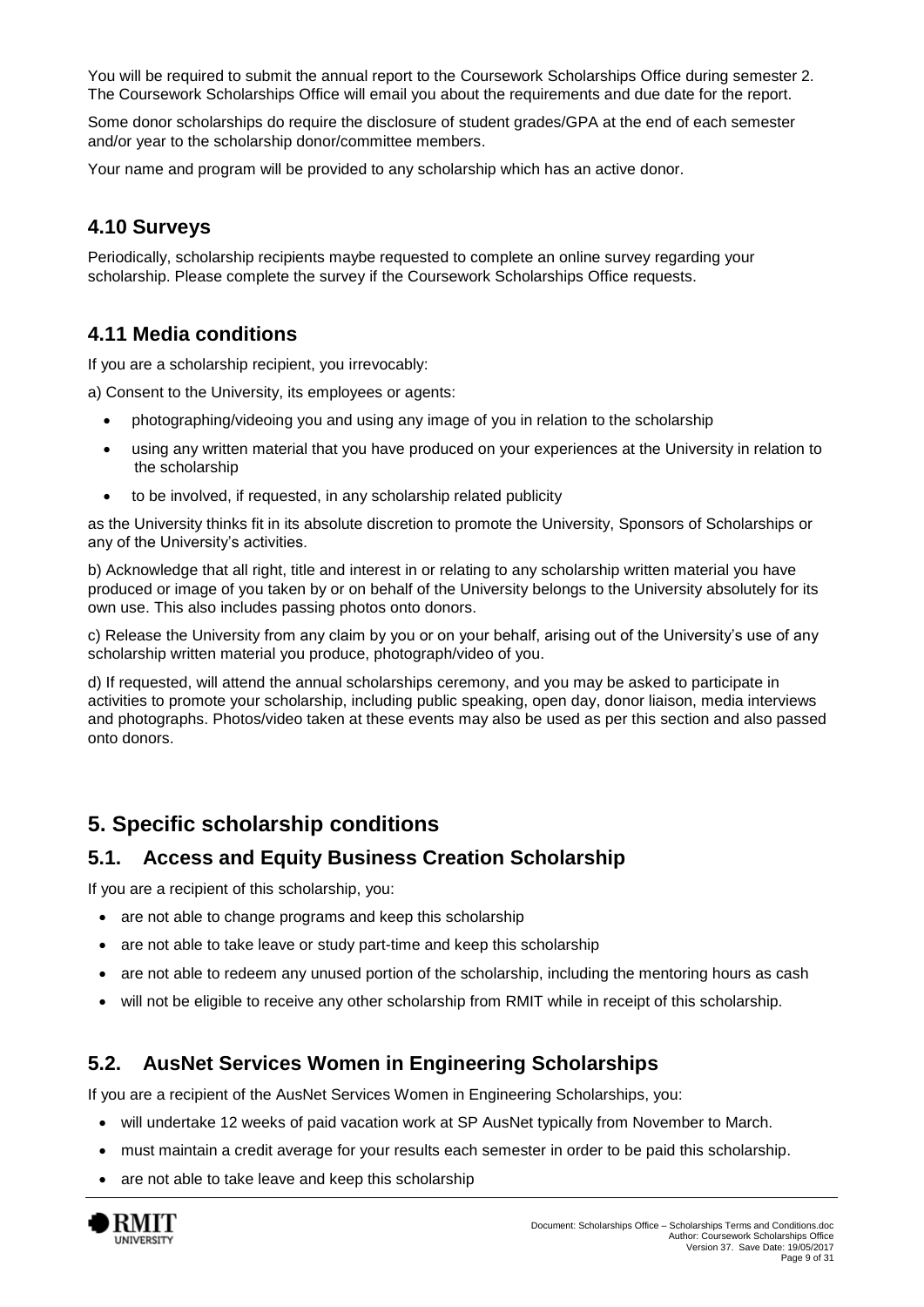You will be required to submit the annual report to the Coursework Scholarships Office during semester 2. The Coursework Scholarships Office will email you about the requirements and due date for the report.

Some donor scholarships do require the disclosure of student grades/GPA at the end of each semester and/or year to the scholarship donor/committee members.

Your name and program will be provided to any scholarship which has an active donor.

#### **4.10 Surveys**

Periodically, scholarship recipients maybe requested to complete an online survey regarding your scholarship. Please complete the survey if the Coursework Scholarships Office requests.

### **4.11 Media conditions**

If you are a scholarship recipient, you irrevocably:

a) Consent to the University, its employees or agents:

- photographing/videoing you and using any image of you in relation to the scholarship
- using any written material that you have produced on your experiences at the University in relation to the scholarship
- to be involved, if requested, in any scholarship related publicity

as the University thinks fit in its absolute discretion to promote the University, Sponsors of Scholarships or any of the University's activities.

b) Acknowledge that all right, title and interest in or relating to any scholarship written material you have produced or image of you taken by or on behalf of the University belongs to the University absolutely for its own use. This also includes passing photos onto donors.

c) Release the University from any claim by you or on your behalf, arising out of the University's use of any scholarship written material you produce, photograph/video of you.

d) If requested, will attend the annual scholarships ceremony, and you may be asked to participate in activities to promote your scholarship, including public speaking, open day, donor liaison, media interviews and photographs. Photos/video taken at these events may also be used as per this section and also passed onto donors.

# <span id="page-8-0"></span>**5. Specific scholarship conditions**

#### **5.1. Access and Equity Business Creation Scholarship**

If you are a recipient of this scholarship, you:

- are not able to change programs and keep this scholarship
- are not able to take leave or study part-time and keep this scholarship
- are not able to redeem any unused portion of the scholarship, including the mentoring hours as cash
- will not be eligible to receive any other scholarship from RMIT while in receipt of this scholarship.

#### **5.2. AusNet Services Women in Engineering Scholarships**

If you are a recipient of the AusNet Services Women in Engineering Scholarships, you:

- will undertake 12 weeks of paid vacation work at SP AusNet typically from November to March.
- must maintain a credit average for your results each semester in order to be paid this scholarship.
- are not able to take leave and keep this scholarship

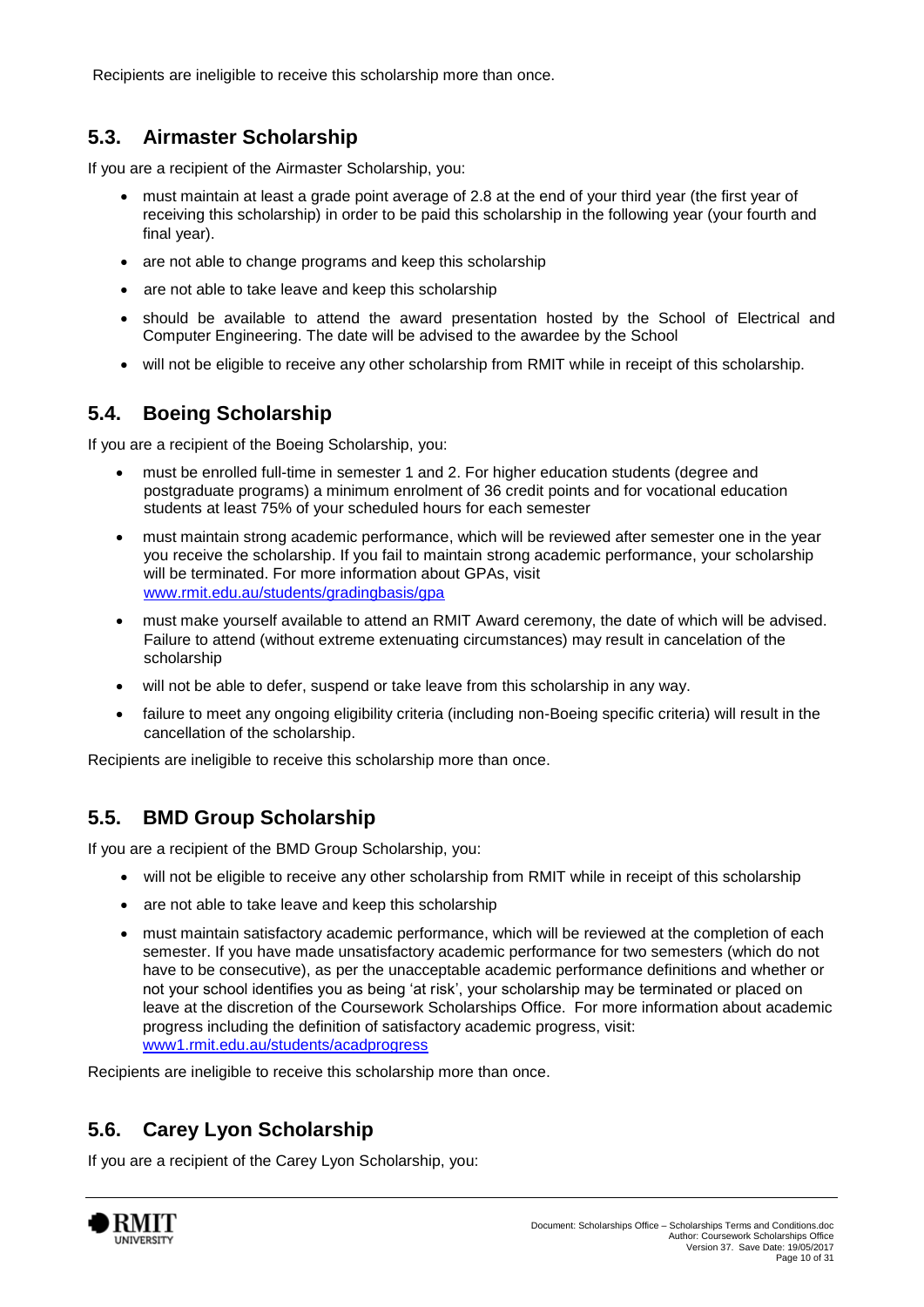Recipients are ineligible to receive this scholarship more than once.

### **5.3. Airmaster Scholarship**

If you are a recipient of the Airmaster Scholarship, you:

- must maintain at least a grade point average of 2.8 at the end of your third year (the first year of receiving this scholarship) in order to be paid this scholarship in the following year (your fourth and final year).
- are not able to change programs and keep this scholarship
- are not able to take leave and keep this scholarship
- should be available to attend the award presentation hosted by the School of Electrical and Computer Engineering. The date will be advised to the awardee by the School
- will not be eligible to receive any other scholarship from RMIT while in receipt of this scholarship.

### **5.4. Boeing Scholarship**

If you are a recipient of the Boeing Scholarship, you:

- must be enrolled full-time in semester 1 and 2. For higher education students (degree and postgraduate programs) a minimum enrolment of 36 credit points and for vocational education students at least 75% of your scheduled hours for each semester
- must maintain strong academic performance, which will be reviewed after semester one in the year you receive the scholarship. If you fail to maintain strong academic performance, your scholarship will be terminated. For more information about GPAs, visit [www.rmit.edu.au/students/gradingbasis/gpa](http://www.rmit.edu.au/students/gradingbasis/gpa)
- must make yourself available to attend an RMIT Award ceremony, the date of which will be advised. Failure to attend (without extreme extenuating circumstances) may result in cancelation of the scholarship
- will not be able to defer, suspend or take leave from this scholarship in any way.
- failure to meet any ongoing eligibility criteria (including non-Boeing specific criteria) will result in the cancellation of the scholarship.

Recipients are ineligible to receive this scholarship more than once.

### **5.5. BMD Group Scholarship**

If you are a recipient of the BMD Group Scholarship, you:

- will not be eligible to receive any other scholarship from RMIT while in receipt of this scholarship
- are not able to take leave and keep this scholarship
- must maintain satisfactory academic performance, which will be reviewed at the completion of each semester. If you have made unsatisfactory academic performance for two semesters (which do not have to be consecutive), as per the unacceptable academic performance definitions and whether or not your school identifies you as being 'at risk', your scholarship may be terminated or placed on leave at the discretion of the Coursework Scholarships Office. For more information about academic progress including the definition of satisfactory academic progress, visit: [www1.rmit.edu.au/students/acadprogress](http://www.rmit.edu.au/students/academicprogress)

Recipients are ineligible to receive this scholarship more than once.

### **5.6. Carey Lyon Scholarship**

If you are a recipient of the Carey Lyon Scholarship, you:

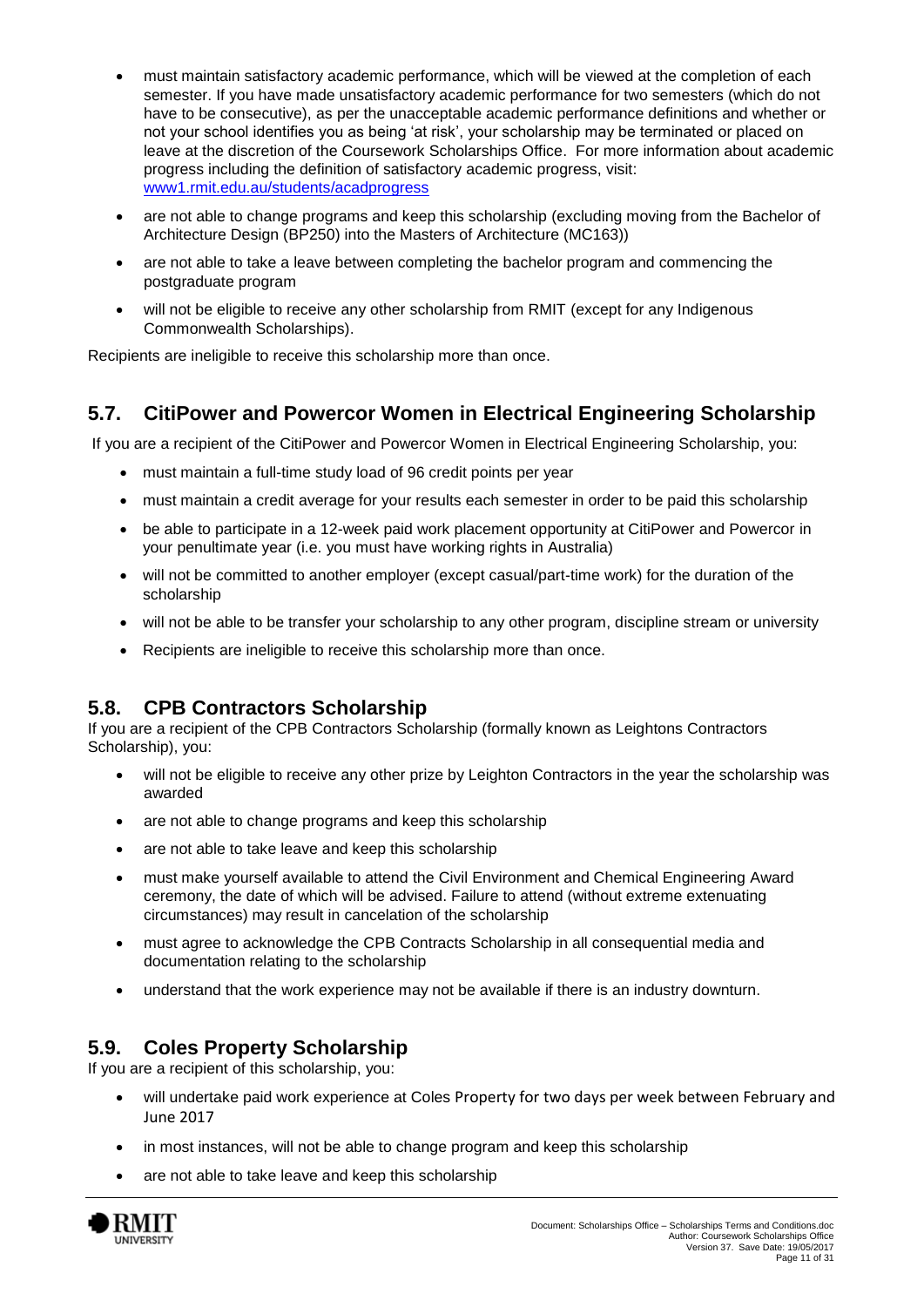- must maintain satisfactory academic performance, which will be viewed at the completion of each semester. If you have made unsatisfactory academic performance for two semesters (which do not have to be consecutive), as per the unacceptable academic performance definitions and whether or not your school identifies you as being 'at risk', your scholarship may be terminated or placed on leave at the discretion of the Coursework Scholarships Office. For more information about academic progress including the definition of satisfactory academic progress, visit: [www1.rmit.edu.au/students/acadprogress](http://www.rmit.edu.au/students/academicprogress)
- are not able to change programs and keep this scholarship (excluding moving from the Bachelor of Architecture Design (BP250) into the Masters of Architecture (MC163))
- are not able to take a leave between completing the bachelor program and commencing the postgraduate program
- will not be eligible to receive any other scholarship from RMIT (except for any Indigenous Commonwealth Scholarships).

Recipients are ineligible to receive this scholarship more than once.

### **5.7. CitiPower and Powercor Women in Electrical Engineering Scholarship**

If you are a recipient of the CitiPower and Powercor Women in Electrical Engineering Scholarship, you:

- must maintain a full-time study load of 96 credit points per year
- must maintain a credit average for your results each semester in order to be paid this scholarship
- be able to participate in a 12-week paid work placement opportunity at CitiPower and Powercor in your penultimate year (i.e. you must have working rights in Australia)
- will not be committed to another employer (except casual/part-time work) for the duration of the scholarship
- will not be able to be transfer your scholarship to any other program, discipline stream or university
- Recipients are ineligible to receive this scholarship more than once.

#### **5.8. CPB Contractors Scholarship**

If you are a recipient of the CPB Contractors Scholarship (formally known as Leightons Contractors Scholarship), you:

- will not be eligible to receive any other prize by Leighton Contractors in the year the scholarship was awarded
- are not able to change programs and keep this scholarship
- are not able to take leave and keep this scholarship
- must make yourself available to attend the Civil Environment and Chemical Engineering Award ceremony, the date of which will be advised. Failure to attend (without extreme extenuating circumstances) may result in cancelation of the scholarship
- must agree to acknowledge the CPB Contracts Scholarship in all consequential media and documentation relating to the scholarship
- understand that the work experience may not be available if there is an industry downturn.

### **5.9. Coles Property Scholarship**

If you are a recipient of this scholarship, you:

- will undertake paid work experience at Coles Property for two days per week between February and June 2017
- in most instances, will not be able to change program and keep this scholarship
- are not able to take leave and keep this scholarship

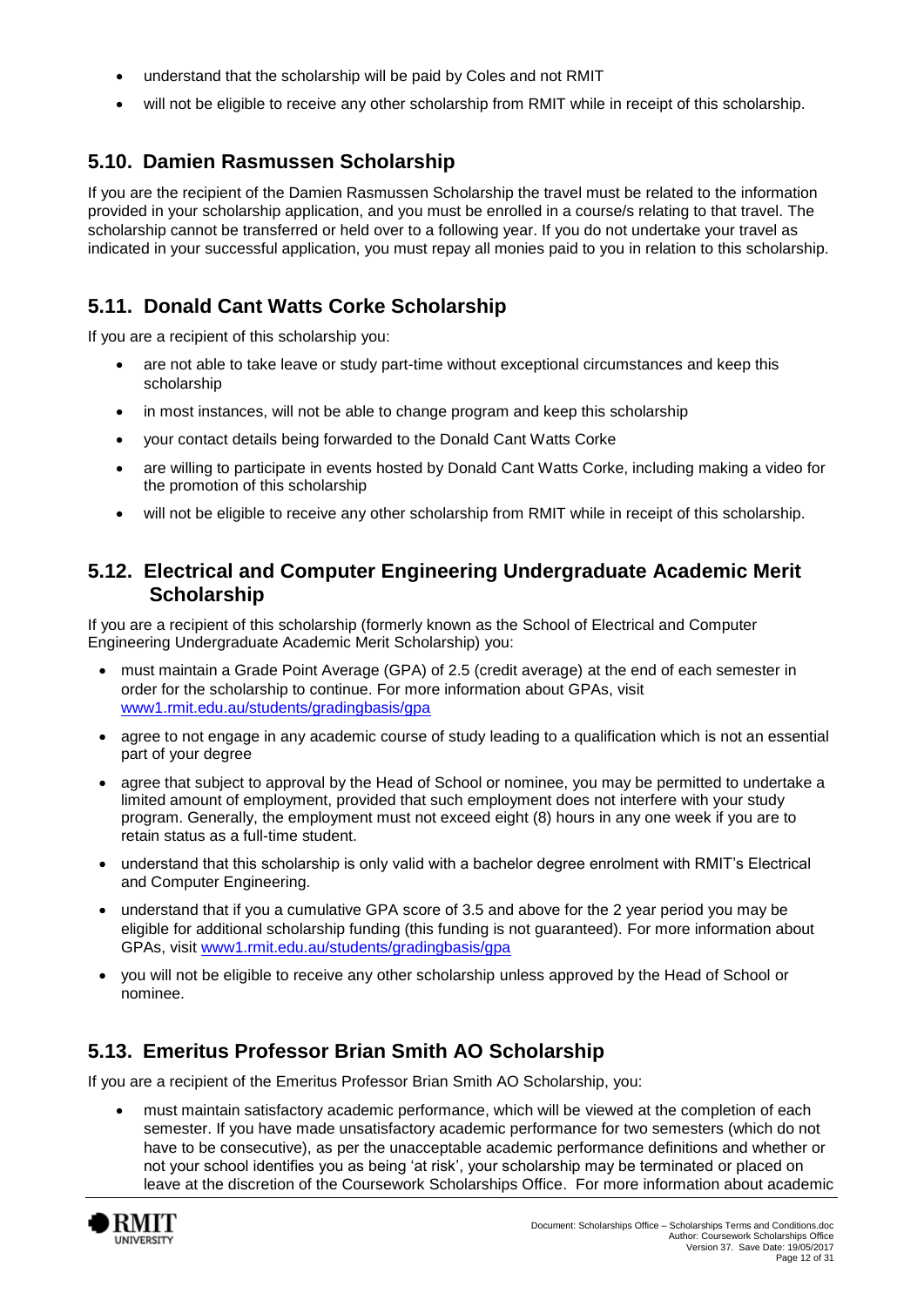- understand that the scholarship will be paid by Coles and not RMIT
- will not be eligible to receive any other scholarship from RMIT while in receipt of this scholarship.

### **5.10. Damien Rasmussen Scholarship**

If you are the recipient of the Damien Rasmussen Scholarship the travel must be related to the information provided in your scholarship application, and you must be enrolled in a course/s relating to that travel. The scholarship cannot be transferred or held over to a following year. If you do not undertake your travel as indicated in your successful application, you must repay all monies paid to you in relation to this scholarship.

### **5.11. Donald Cant Watts Corke Scholarship**

If you are a recipient of this scholarship you:

- are not able to take leave or study part-time without exceptional circumstances and keep this scholarship
- in most instances, will not be able to change program and keep this scholarship
- your contact details being forwarded to the Donald Cant Watts Corke
- are willing to participate in events hosted by Donald Cant Watts Corke, including making a video for the promotion of this scholarship
- will not be eligible to receive any other scholarship from RMIT while in receipt of this scholarship.

### **5.12. Electrical and Computer Engineering Undergraduate Academic Merit Scholarship**

If you are a recipient of this scholarship (formerly known as the School of Electrical and Computer Engineering Undergraduate Academic Merit Scholarship) you:

- must maintain a Grade Point Average (GPA) of 2.5 (credit average) at the end of each semester in order for the scholarship to continue. For more information about GPAs, visit [www1.rmit.edu.au/students/gradingbasis/gpa](http://www.rmit.edu.au/students/gradingbasis/gpa)
- agree to not engage in any academic course of study leading to a qualification which is not an essential part of your degree
- agree that subject to approval by the Head of School or nominee, you may be permitted to undertake a limited amount of employment, provided that such employment does not interfere with your study program. Generally, the employment must not exceed eight (8) hours in any one week if you are to retain status as a full-time student.
- understand that this scholarship is only valid with a bachelor degree enrolment with RMIT's Electrical and Computer Engineering.
- understand that if you a cumulative GPA score of 3.5 and above for the 2 year period you may be eligible for additional scholarship funding (this funding is not guaranteed). For more information about GPAs, visit [www1.rmit.edu.au/students/gradingbasis/gpa](http://www.rmit.edu.au/students/gradingbasis/gpa)
- you will not be eligible to receive any other scholarship unless approved by the Head of School or nominee.

### **5.13. Emeritus Professor Brian Smith AO Scholarship**

If you are a recipient of the Emeritus Professor Brian Smith AO Scholarship, you:

 must maintain satisfactory academic performance, which will be viewed at the completion of each semester. If you have made unsatisfactory academic performance for two semesters (which do not have to be consecutive), as per the unacceptable academic performance definitions and whether or not your school identifies you as being 'at risk', your scholarship may be terminated or placed on leave at the discretion of the Coursework Scholarships Office. For more information about academic

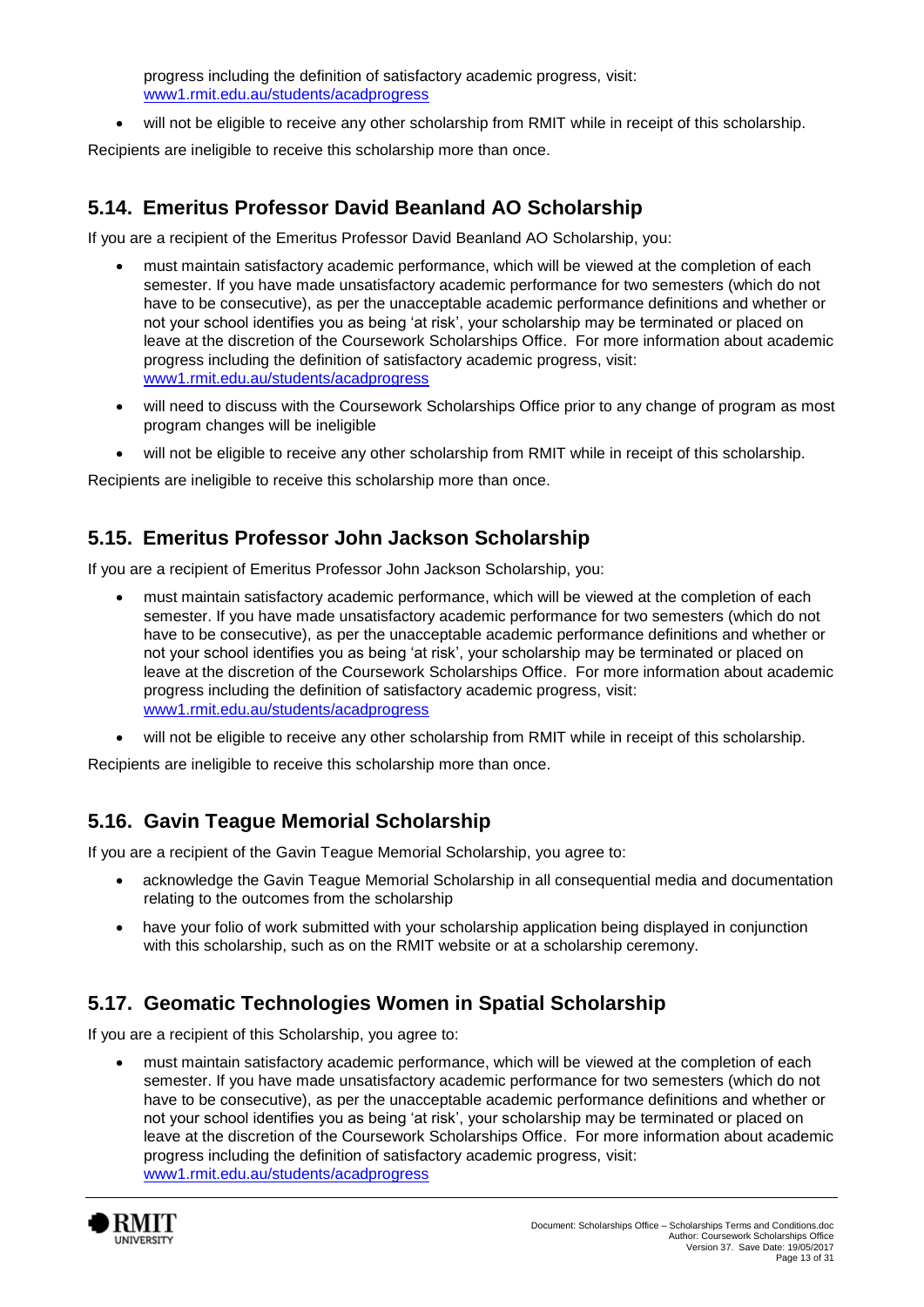progress including the definition of satisfactory academic progress, visit: [www1.rmit.edu.au/students/acadprogress](http://www.rmit.edu.au/students/academicprogress)

will not be eligible to receive any other scholarship from RMIT while in receipt of this scholarship.

Recipients are ineligible to receive this scholarship more than once.

### **5.14. Emeritus Professor David Beanland AO Scholarship**

If you are a recipient of the Emeritus Professor David Beanland AO Scholarship, you:

- must maintain satisfactory academic performance, which will be viewed at the completion of each semester. If you have made unsatisfactory academic performance for two semesters (which do not have to be consecutive), as per the unacceptable academic performance definitions and whether or not your school identifies you as being 'at risk', your scholarship may be terminated or placed on leave at the discretion of the Coursework Scholarships Office. For more information about academic progress including the definition of satisfactory academic progress, visit: [www1.rmit.edu.au/students/acadprogress](http://www.rmit.edu.au/students/academicprogress)
- will need to discuss with the Coursework Scholarships Office prior to any change of program as most program changes will be ineligible
- will not be eligible to receive any other scholarship from RMIT while in receipt of this scholarship.

Recipients are ineligible to receive this scholarship more than once.

### **5.15. Emeritus Professor John Jackson Scholarship**

If you are a recipient of Emeritus Professor John Jackson Scholarship, you:

- must maintain satisfactory academic performance, which will be viewed at the completion of each semester. If you have made unsatisfactory academic performance for two semesters (which do not have to be consecutive), as per the unacceptable academic performance definitions and whether or not your school identifies you as being 'at risk', your scholarship may be terminated or placed on leave at the discretion of the Coursework Scholarships Office. For more information about academic progress including the definition of satisfactory academic progress, visit: [www1.rmit.edu.au/students/acadprogress](http://www.rmit.edu.au/students/academicprogress)
- will not be eligible to receive any other scholarship from RMIT while in receipt of this scholarship.

Recipients are ineligible to receive this scholarship more than once.

### **5.16. Gavin Teague Memorial Scholarship**

If you are a recipient of the Gavin Teague Memorial Scholarship, you agree to:

- acknowledge the Gavin Teague Memorial Scholarship in all consequential media and documentation relating to the outcomes from the scholarship
- have your folio of work submitted with your scholarship application being displayed in conjunction with this scholarship, such as on the RMIT website or at a scholarship ceremony.

### **5.17. Geomatic Technologies Women in Spatial Scholarship**

If you are a recipient of this Scholarship, you agree to:

 must maintain satisfactory academic performance, which will be viewed at the completion of each semester. If you have made unsatisfactory academic performance for two semesters (which do not have to be consecutive), as per the unacceptable academic performance definitions and whether or not your school identifies you as being 'at risk', your scholarship may be terminated or placed on leave at the discretion of the Coursework Scholarships Office. For more information about academic progress including the definition of satisfactory academic progress, visit: [www1.rmit.edu.au/students/acadprogress](http://www.rmit.edu.au/students/academicprogress)

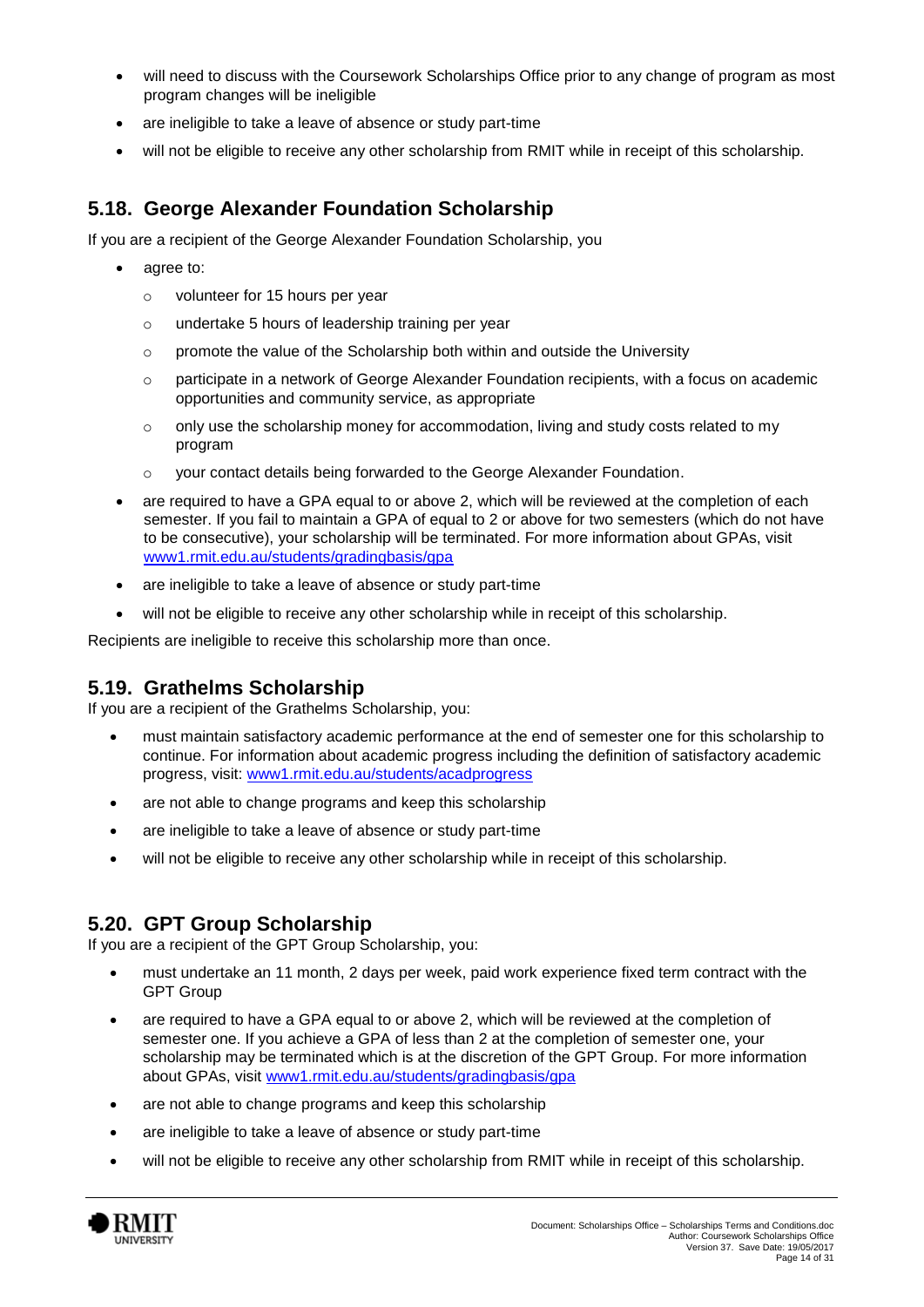- will need to discuss with the Coursework Scholarships Office prior to any change of program as most program changes will be ineligible
- are ineligible to take a leave of absence or study part-time
- will not be eligible to receive any other scholarship from RMIT while in receipt of this scholarship.

### **5.18. George Alexander Foundation Scholarship**

If you are a recipient of the George Alexander Foundation Scholarship, you

- agree to:
	- o volunteer for 15 hours per year
	- o undertake 5 hours of leadership training per year
	- $\circ$  promote the value of the Scholarship both within and outside the University
	- o participate in a network of George Alexander Foundation recipients, with a focus on academic opportunities and community service, as appropriate
	- $\circ$  only use the scholarship money for accommodation, living and study costs related to my program
	- o your contact details being forwarded to the George Alexander Foundation.
- are required to have a GPA equal to or above 2, which will be reviewed at the completion of each semester. If you fail to maintain a GPA of equal to 2 or above for two semesters (which do not have to be consecutive), your scholarship will be terminated. For more information about GPAs, visit [www1.rmit.edu.au/students/gradingbasis/gpa](http://www.rmit.edu.au/students/gradingbasis/gpa)
- are ineligible to take a leave of absence or study part-time
- will not be eligible to receive any other scholarship while in receipt of this scholarship.

Recipients are ineligible to receive this scholarship more than once.

#### **5.19. Grathelms Scholarship**

If you are a recipient of the Grathelms Scholarship, you:

- must maintain satisfactory academic performance at the end of semester one for this scholarship to continue. For information about academic progress including the definition of satisfactory academic progress, visit: [www1.rmit.edu.au/students/acadprogress](http://www.rmit.edu.au/students/academicprogress)
- are not able to change programs and keep this scholarship
- are ineligible to take a leave of absence or study part-time
- will not be eligible to receive any other scholarship while in receipt of this scholarship.

#### **5.20. GPT Group Scholarship**

If you are a recipient of the GPT Group Scholarship, you:

- must undertake an 11 month, 2 days per week, paid work experience fixed term contract with the GPT Group
- are required to have a GPA equal to or above 2, which will be reviewed at the completion of semester one. If you achieve a GPA of less than 2 at the completion of semester one, your scholarship may be terminated which is at the discretion of the GPT Group. For more information about GPAs, visit [www1.rmit.edu.au/students/gradingbasis/gpa](http://www.rmit.edu.au/students/gradingbasis/gpa)
- are not able to change programs and keep this scholarship
- are ineligible to take a leave of absence or study part-time
- will not be eligible to receive any other scholarship from RMIT while in receipt of this scholarship.

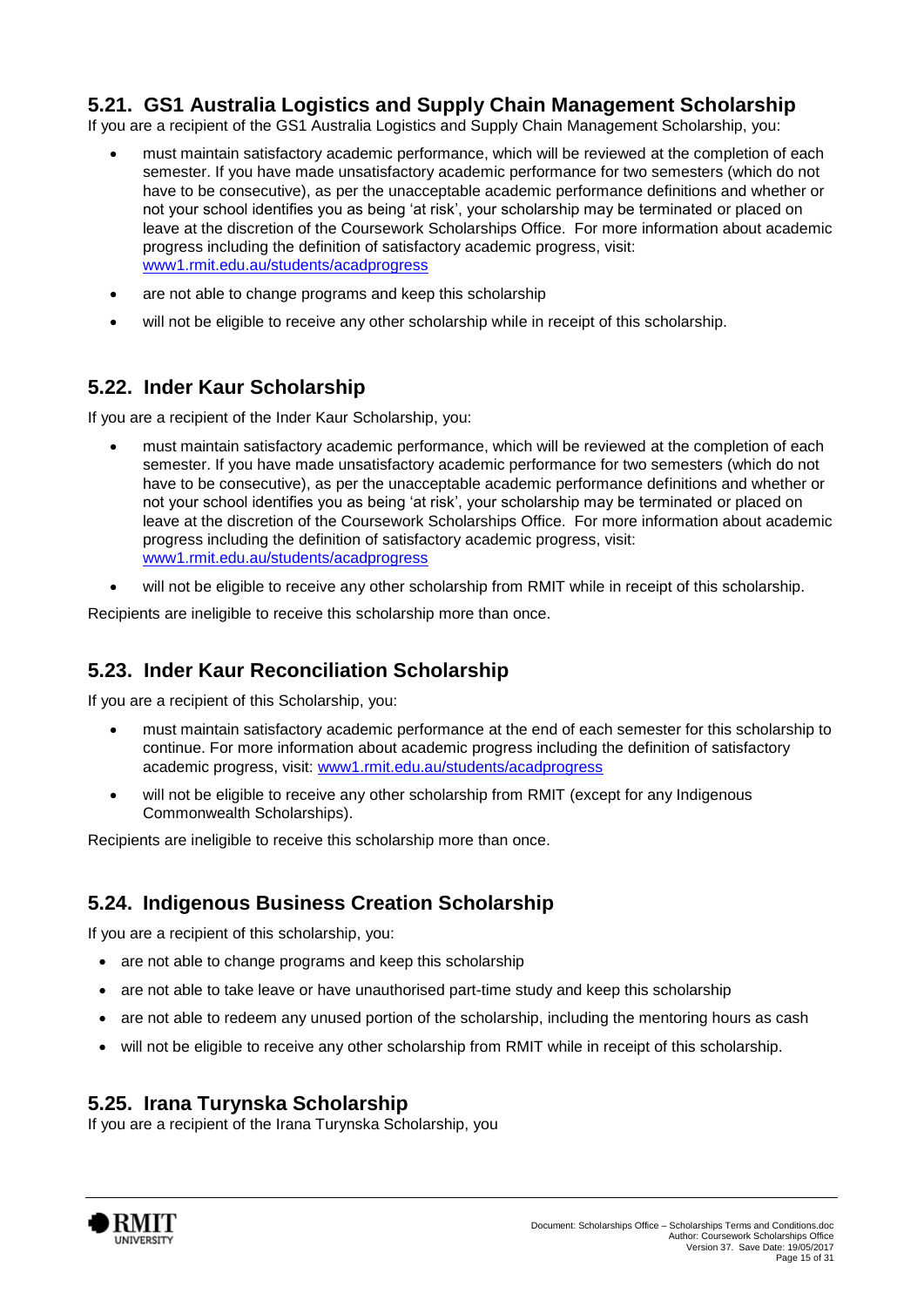### **5.21. GS1 Australia Logistics and Supply Chain Management Scholarship**

If you are a recipient of the GS1 Australia Logistics and Supply Chain Management Scholarship, you:

- must maintain satisfactory academic performance, which will be reviewed at the completion of each semester. If you have made unsatisfactory academic performance for two semesters (which do not have to be consecutive), as per the unacceptable academic performance definitions and whether or not your school identifies you as being 'at risk', your scholarship may be terminated or placed on leave at the discretion of the Coursework Scholarships Office. For more information about academic progress including the definition of satisfactory academic progress, visit: [www1.rmit.edu.au/students/acadprogress](http://www.rmit.edu.au/students/academicprogress)
- are not able to change programs and keep this scholarship
- will not be eligible to receive any other scholarship while in receipt of this scholarship.

### **5.22. Inder Kaur Scholarship**

If you are a recipient of the Inder Kaur Scholarship, you:

- must maintain satisfactory academic performance, which will be reviewed at the completion of each semester. If you have made unsatisfactory academic performance for two semesters (which do not have to be consecutive), as per the unacceptable academic performance definitions and whether or not your school identifies you as being 'at risk', your scholarship may be terminated or placed on leave at the discretion of the Coursework Scholarships Office. For more information about academic progress including the definition of satisfactory academic progress, visit: [www1.rmit.edu.au/students/acadprogress](http://www.rmit.edu.au/students/academicprogress)
- will not be eligible to receive any other scholarship from RMIT while in receipt of this scholarship.

Recipients are ineligible to receive this scholarship more than once.

### **5.23. Inder Kaur Reconciliation Scholarship**

If you are a recipient of this Scholarship, you:

- must maintain satisfactory academic performance at the end of each semester for this scholarship to continue. For more information about academic progress including the definition of satisfactory academic progress, visit: [www1.rmit.edu.au/students/acadprogress](http://www.rmit.edu.au/students/academicprogress)
- will not be eligible to receive any other scholarship from RMIT (except for any Indigenous Commonwealth Scholarships).

Recipients are ineligible to receive this scholarship more than once.

### **5.24. Indigenous Business Creation Scholarship**

If you are a recipient of this scholarship, you:

- are not able to change programs and keep this scholarship
- are not able to take leave or have unauthorised part-time study and keep this scholarship
- are not able to redeem any unused portion of the scholarship, including the mentoring hours as cash
- will not be eligible to receive any other scholarship from RMIT while in receipt of this scholarship.

### **5.25. Irana Turynska Scholarship**

If you are a recipient of the Irana Turynska Scholarship, you

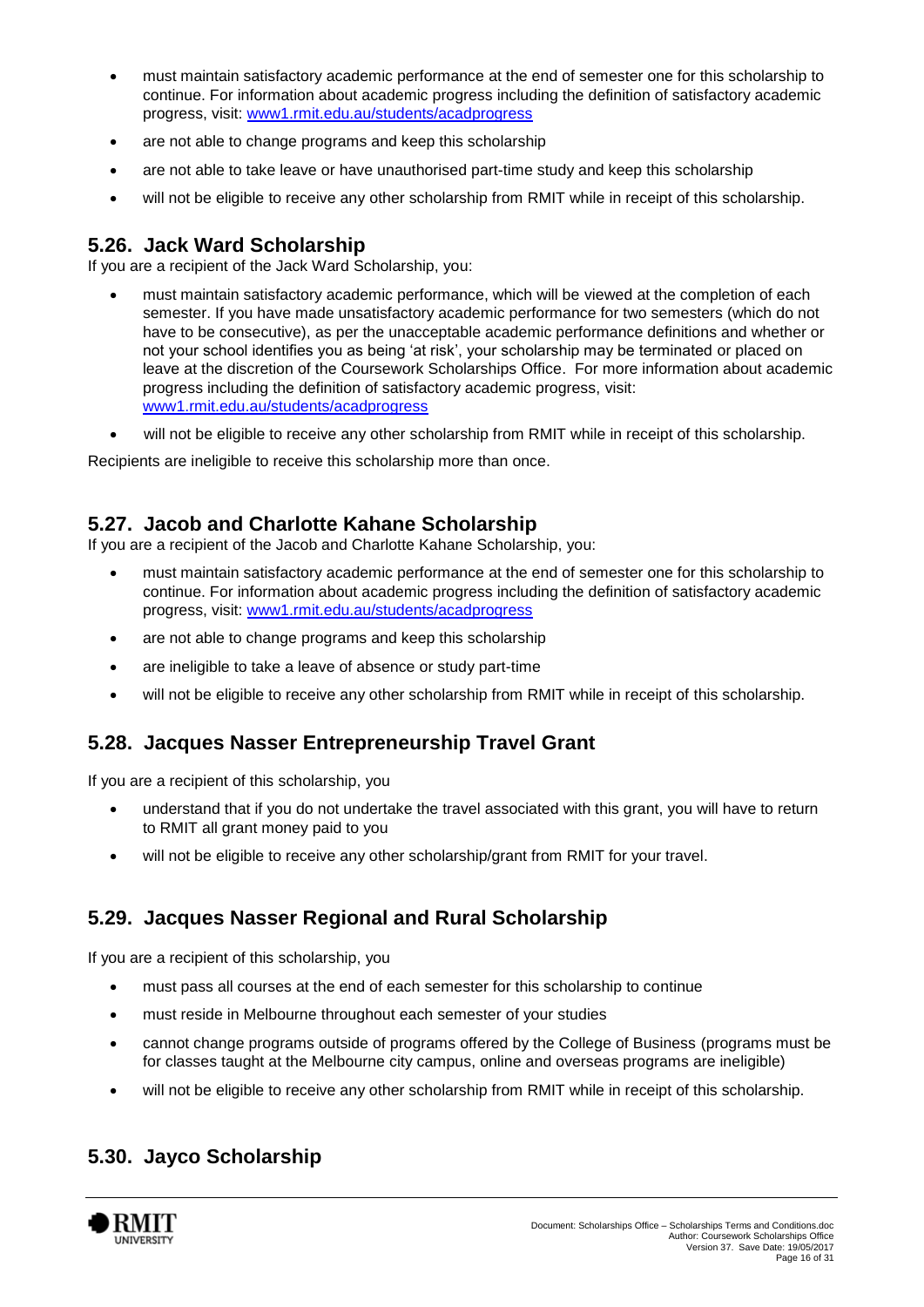- must maintain satisfactory academic performance at the end of semester one for this scholarship to continue. For information about academic progress including the definition of satisfactory academic progress, visit: [www1.rmit.edu.au/students/acadprogress](http://www.rmit.edu.au/students/academicprogress)
- are not able to change programs and keep this scholarship
- are not able to take leave or have unauthorised part-time study and keep this scholarship
- will not be eligible to receive any other scholarship from RMIT while in receipt of this scholarship.

#### **5.26. Jack Ward Scholarship**

If you are a recipient of the Jack Ward Scholarship, you:

- must maintain satisfactory academic performance, which will be viewed at the completion of each semester. If you have made unsatisfactory academic performance for two semesters (which do not have to be consecutive), as per the unacceptable academic performance definitions and whether or not your school identifies you as being 'at risk', your scholarship may be terminated or placed on leave at the discretion of the Coursework Scholarships Office. For more information about academic progress including the definition of satisfactory academic progress, visit: [www1.rmit.edu.au/students/acadprogress](http://www.rmit.edu.au/students/academicprogress)
- will not be eligible to receive any other scholarship from RMIT while in receipt of this scholarship.

Recipients are ineligible to receive this scholarship more than once.

### **5.27. Jacob and Charlotte Kahane Scholarship**

If you are a recipient of the Jacob and Charlotte Kahane Scholarship, you:

- must maintain satisfactory academic performance at the end of semester one for this scholarship to continue. For information about academic progress including the definition of satisfactory academic progress, visit: [www1.rmit.edu.au/students/acadprogress](http://www.rmit.edu.au/students/academicprogress)
- are not able to change programs and keep this scholarship
- are ineligible to take a leave of absence or study part-time
- will not be eligible to receive any other scholarship from RMIT while in receipt of this scholarship.

### **5.28. Jacques Nasser Entrepreneurship Travel Grant**

If you are a recipient of this scholarship, you

- understand that if you do not undertake the travel associated with this grant, you will have to return to RMIT all grant money paid to you
- will not be eligible to receive any other scholarship/grant from RMIT for your travel.

### **5.29. Jacques Nasser Regional and Rural Scholarship**

If you are a recipient of this scholarship, you

- must pass all courses at the end of each semester for this scholarship to continue
- must reside in Melbourne throughout each semester of your studies
- cannot change programs outside of programs offered by the College of Business (programs must be for classes taught at the Melbourne city campus, online and overseas programs are ineligible)
- will not be eligible to receive any other scholarship from RMIT while in receipt of this scholarship.

### **5.30. Jayco Scholarship**

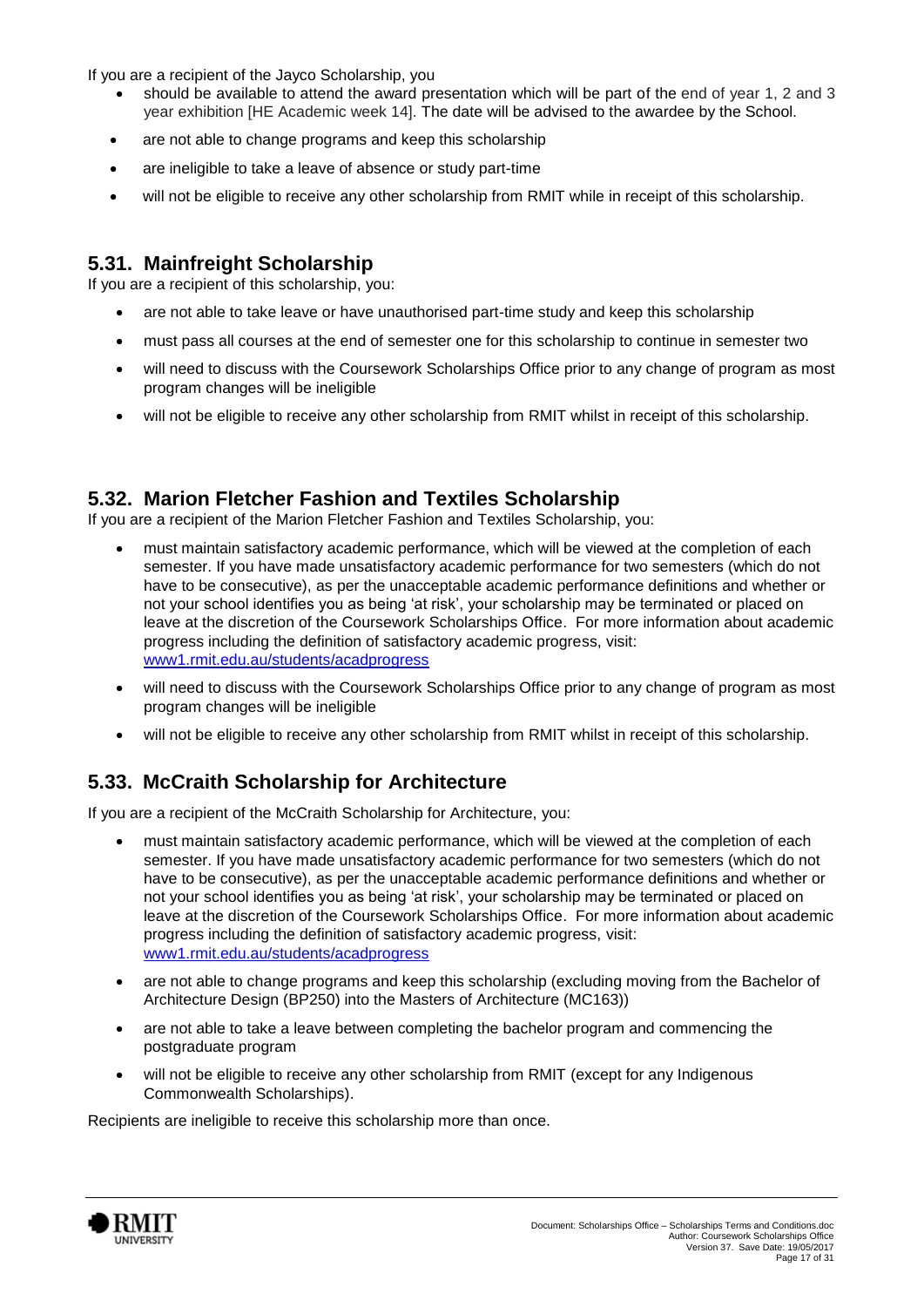If you are a recipient of the Jayco Scholarship, you

- should be available to attend the award presentation which will be part of the end of year 1, 2 and 3 year exhibition [HE Academic week 14]. The date will be advised to the awardee by the School.
- are not able to change programs and keep this scholarship
- are ineligible to take a leave of absence or study part-time
- will not be eligible to receive any other scholarship from RMIT while in receipt of this scholarship.

### **5.31. Mainfreight Scholarship**

If you are a recipient of this scholarship, you:

- are not able to take leave or have unauthorised part-time study and keep this scholarship
- must pass all courses at the end of semester one for this scholarship to continue in semester two
- will need to discuss with the Coursework Scholarships Office prior to any change of program as most program changes will be ineligible
- will not be eligible to receive any other scholarship from RMIT whilst in receipt of this scholarship.

#### **5.32. Marion Fletcher Fashion and Textiles Scholarship**

If you are a recipient of the Marion Fletcher Fashion and Textiles Scholarship, you:

- must maintain satisfactory academic performance, which will be viewed at the completion of each semester. If you have made unsatisfactory academic performance for two semesters (which do not have to be consecutive), as per the unacceptable academic performance definitions and whether or not your school identifies you as being 'at risk', your scholarship may be terminated or placed on leave at the discretion of the Coursework Scholarships Office. For more information about academic progress including the definition of satisfactory academic progress, visit: [www1.rmit.edu.au/students/acadprogress](http://www.rmit.edu.au/students/academicprogress)
- will need to discuss with the Coursework Scholarships Office prior to any change of program as most program changes will be ineligible
- will not be eligible to receive any other scholarship from RMIT whilst in receipt of this scholarship.

# **5.33. McCraith Scholarship for Architecture**

If you are a recipient of the McCraith Scholarship for Architecture, you:

- must maintain satisfactory academic performance, which will be viewed at the completion of each semester. If you have made unsatisfactory academic performance for two semesters (which do not have to be consecutive), as per the unacceptable academic performance definitions and whether or not your school identifies you as being 'at risk', your scholarship may be terminated or placed on leave at the discretion of the Coursework Scholarships Office. For more information about academic progress including the definition of satisfactory academic progress, visit: [www1.rmit.edu.au/students/acadprogress](http://www.rmit.edu.au/students/academicprogress)
- are not able to change programs and keep this scholarship (excluding moving from the Bachelor of Architecture Design (BP250) into the Masters of Architecture (MC163))
- are not able to take a leave between completing the bachelor program and commencing the postgraduate program
- will not be eligible to receive any other scholarship from RMIT (except for any Indigenous Commonwealth Scholarships).

Recipients are ineligible to receive this scholarship more than once.

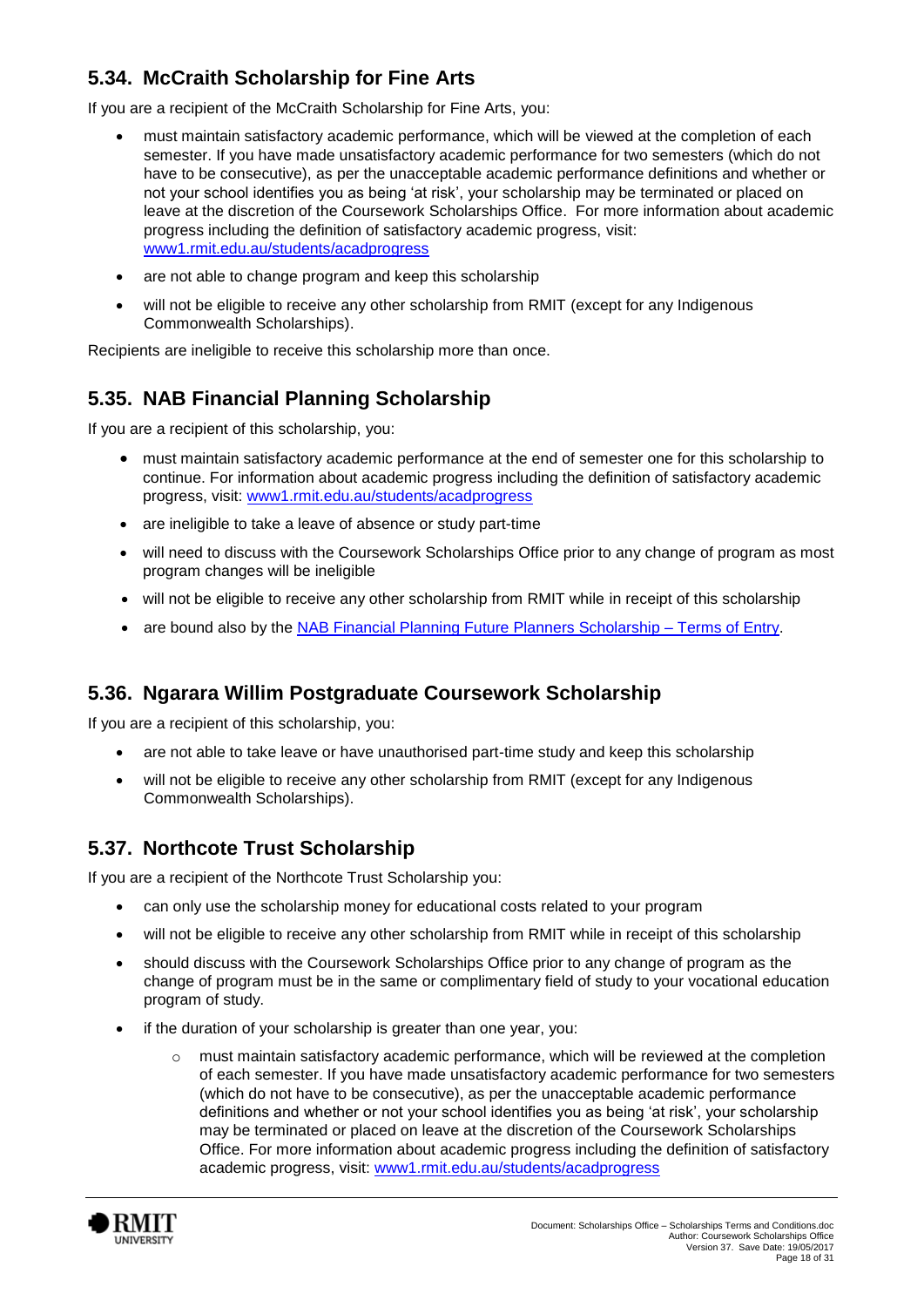# **5.34. McCraith Scholarship for Fine Arts**

If you are a recipient of the McCraith Scholarship for Fine Arts, you:

- must maintain satisfactory academic performance, which will be viewed at the completion of each semester. If you have made unsatisfactory academic performance for two semesters (which do not have to be consecutive), as per the unacceptable academic performance definitions and whether or not your school identifies you as being 'at risk', your scholarship may be terminated or placed on leave at the discretion of the Coursework Scholarships Office. For more information about academic progress including the definition of satisfactory academic progress, visit: [www1.rmit.edu.au/students/acadprogress](http://www.rmit.edu.au/students/academicprogress)
- are not able to change program and keep this scholarship
- will not be eligible to receive any other scholarship from RMIT (except for any Indigenous Commonwealth Scholarships).

Recipients are ineligible to receive this scholarship more than once.

# **5.35. NAB Financial Planning Scholarship**

If you are a recipient of this scholarship, you:

- must maintain satisfactory academic performance at the end of semester one for this scholarship to continue. For information about academic progress including the definition of satisfactory academic progress, visit: [www1.rmit.edu.au/students/acadprogress](http://www.rmit.edu.au/students/academicprogress)
- are ineligible to take a leave of absence or study part-time
- will need to discuss with the Coursework Scholarships Office prior to any change of program as most program changes will be ineligible
- will not be eligible to receive any other scholarship from RMIT while in receipt of this scholarship
- are bound also by the [NAB Financial Planning Future Planners Scholarship –](http://its-aw-cdmprap1.ad.rmit.edu.au/zneo0zlg9q4d.pdf) Terms of Entry.

### **5.36. Ngarara Willim Postgraduate Coursework Scholarship**

If you are a recipient of this scholarship, you:

- are not able to take leave or have unauthorised part-time study and keep this scholarship
- will not be eligible to receive any other scholarship from RMIT (except for any Indigenous Commonwealth Scholarships).

### **5.37. Northcote Trust Scholarship**

If you are a recipient of the Northcote Trust Scholarship you:

- can only use the scholarship money for educational costs related to your program
- will not be eligible to receive any other scholarship from RMIT while in receipt of this scholarship
- should discuss with the Coursework Scholarships Office prior to any change of program as the change of program must be in the same or complimentary field of study to your vocational education program of study.
- if the duration of your scholarship is greater than one year, you:
	- $\circ$  must maintain satisfactory academic performance, which will be reviewed at the completion of each semester. If you have made unsatisfactory academic performance for two semesters (which do not have to be consecutive), as per the unacceptable academic performance definitions and whether or not your school identifies you as being 'at risk', your scholarship may be terminated or placed on leave at the discretion of the Coursework Scholarships Office. For more information about academic progress including the definition of satisfactory academic progress, visit: [www1.rmit.edu.au/students/acadprogress](http://www.rmit.edu.au/students/academicprogress)

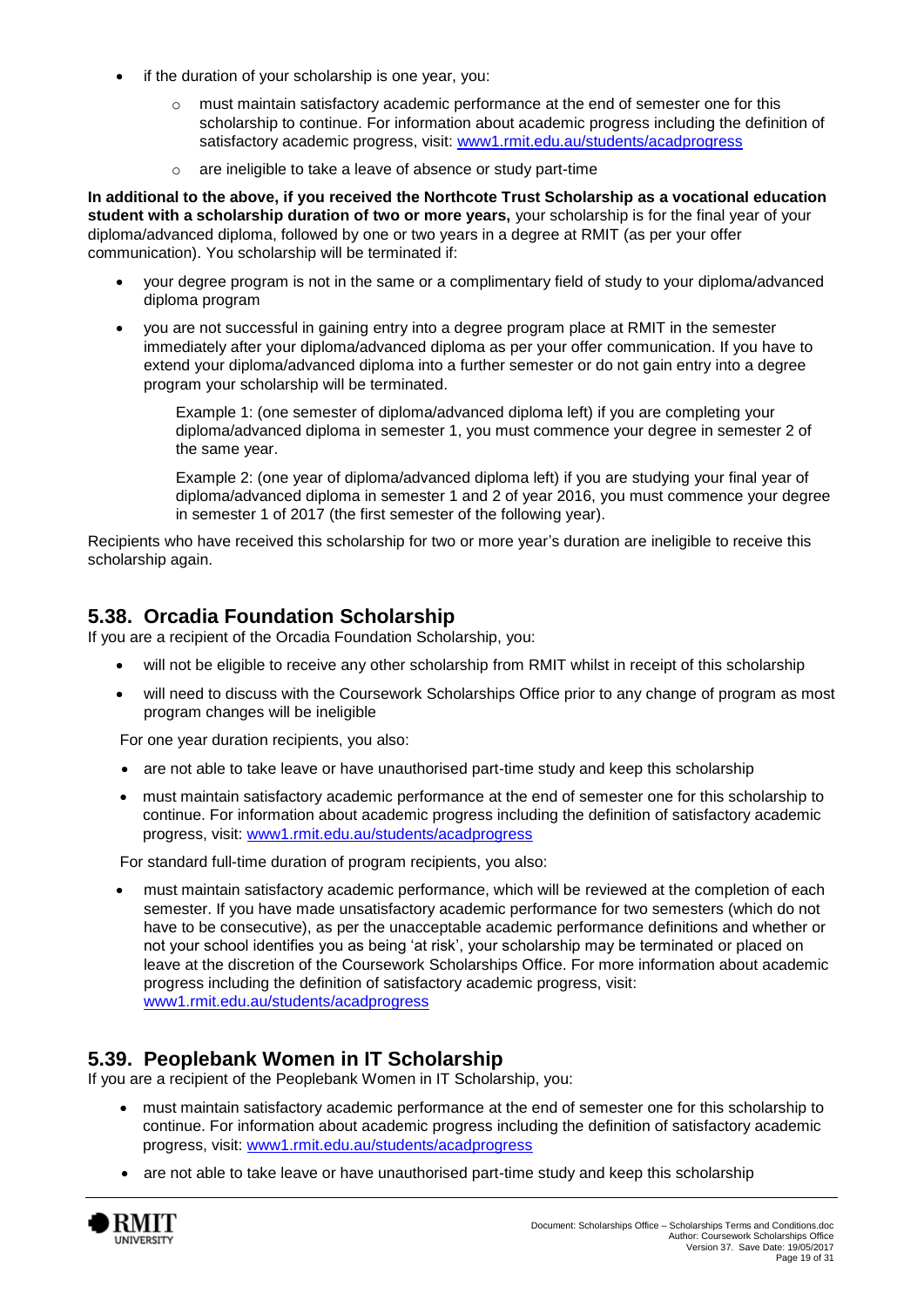- if the duration of your scholarship is one year, you:
	- $\circ$  must maintain satisfactory academic performance at the end of semester one for this scholarship to continue. For information about academic progress including the definition of satisfactory academic progress, visit: [www1.rmit.edu.au/students/acadprogress](http://www.rmit.edu.au/students/academicprogress)
	- are ineligible to take a leave of absence or study part-time

**In additional to the above, if you received the Northcote Trust Scholarship as a vocational education student with a scholarship duration of two or more years,** your scholarship is for the final year of your diploma/advanced diploma, followed by one or two years in a degree at RMIT (as per your offer communication). You scholarship will be terminated if:

- your degree program is not in the same or a complimentary field of study to your diploma/advanced diploma program
- you are not successful in gaining entry into a degree program place at RMIT in the semester immediately after your diploma/advanced diploma as per your offer communication. If you have to extend your diploma/advanced diploma into a further semester or do not gain entry into a degree program your scholarship will be terminated.

Example 1: (one semester of diploma/advanced diploma left) if you are completing your diploma/advanced diploma in semester 1, you must commence your degree in semester 2 of the same year.

Example 2: (one year of diploma/advanced diploma left) if you are studying your final year of diploma/advanced diploma in semester 1 and 2 of year 2016, you must commence your degree in semester 1 of 2017 (the first semester of the following year).

Recipients who have received this scholarship for two or more year's duration are ineligible to receive this scholarship again.

### **5.38. Orcadia Foundation Scholarship**

If you are a recipient of the Orcadia Foundation Scholarship, you:

- will not be eligible to receive any other scholarship from RMIT whilst in receipt of this scholarship
- will need to discuss with the Coursework Scholarships Office prior to any change of program as most program changes will be ineligible

For one year duration recipients, you also:

- are not able to take leave or have unauthorised part-time study and keep this scholarship
- must maintain satisfactory academic performance at the end of semester one for this scholarship to continue. For information about academic progress including the definition of satisfactory academic progress, visit: [www1.rmit.edu.au/students/acadprogress](http://www.rmit.edu.au/students/academicprogress)

For standard full-time duration of program recipients, you also:

 must maintain satisfactory academic performance, which will be reviewed at the completion of each semester. If you have made unsatisfactory academic performance for two semesters (which do not have to be consecutive), as per the unacceptable academic performance definitions and whether or not your school identifies you as being 'at risk', your scholarship may be terminated or placed on leave at the discretion of the Coursework Scholarships Office. For more information about academic progress including the definition of satisfactory academic progress, visit: [www1.rmit.edu.au/students/acadprogress](http://www.rmit.edu.au/students/academicprogress)

#### **5.39. Peoplebank Women in IT Scholarship**

If you are a recipient of the Peoplebank Women in IT Scholarship, you:

- must maintain satisfactory academic performance at the end of semester one for this scholarship to continue. For information about academic progress including the definition of satisfactory academic progress, visit: [www1.rmit.edu.au/students/acadprogress](http://www.rmit.edu.au/students/academicprogress)
- are not able to take leave or have unauthorised part-time study and keep this scholarship

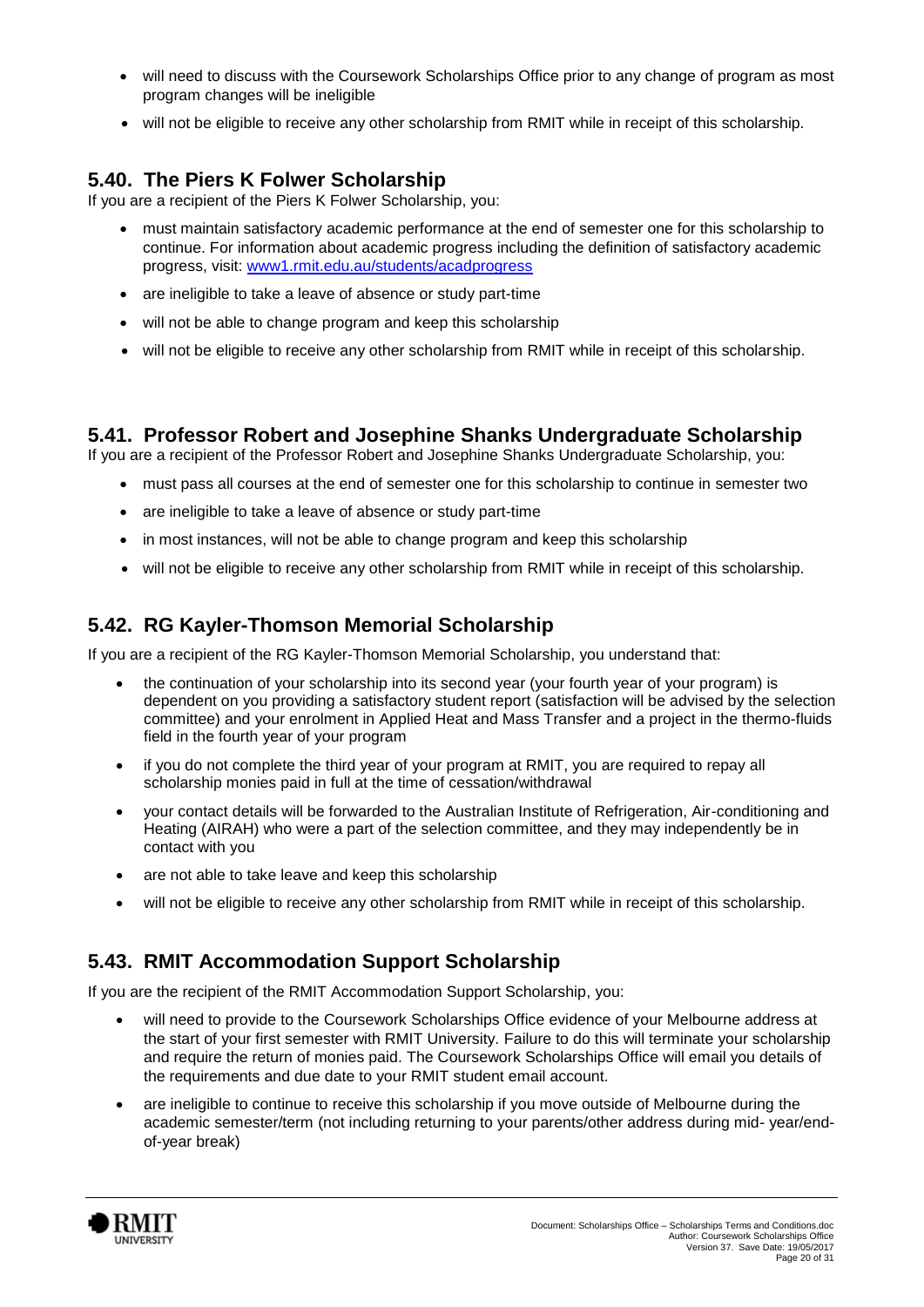- will need to discuss with the Coursework Scholarships Office prior to any change of program as most program changes will be ineligible
- will not be eligible to receive any other scholarship from RMIT while in receipt of this scholarship.

### **5.40. The Piers K Folwer Scholarship**

If you are a recipient of the Piers K Folwer Scholarship, you:

- must maintain satisfactory academic performance at the end of semester one for this scholarship to continue. For information about academic progress including the definition of satisfactory academic progress, visit: [www1.rmit.edu.au/students/acadprogress](http://www.rmit.edu.au/students/academicprogress)
- are ineligible to take a leave of absence or study part-time
- will not be able to change program and keep this scholarship
- will not be eligible to receive any other scholarship from RMIT while in receipt of this scholarship.

### **5.41. Professor Robert and Josephine Shanks Undergraduate Scholarship**

If you are a recipient of the Professor Robert and Josephine Shanks Undergraduate Scholarship, you:

- must pass all courses at the end of semester one for this scholarship to continue in semester two
- are ineligible to take a leave of absence or study part-time
- in most instances, will not be able to change program and keep this scholarship
- will not be eligible to receive any other scholarship from RMIT while in receipt of this scholarship.

### **5.42. RG Kayler-Thomson Memorial Scholarship**

If you are a recipient of the RG Kayler-Thomson Memorial Scholarship, you understand that:

- the continuation of your scholarship into its second year (your fourth year of your program) is dependent on you providing a satisfactory student report (satisfaction will be advised by the selection committee) and your enrolment in Applied Heat and Mass Transfer and a project in the thermo-fluids field in the fourth year of your program
- if you do not complete the third year of your program at RMIT, you are required to repay all scholarship monies paid in full at the time of cessation/withdrawal
- your contact details will be forwarded to the Australian Institute of Refrigeration, Air-conditioning and Heating (AIRAH) who were a part of the selection committee, and they may independently be in contact with you
- are not able to take leave and keep this scholarship
- will not be eligible to receive any other scholarship from RMIT while in receipt of this scholarship.

### **5.43. RMIT Accommodation Support Scholarship**

If you are the recipient of the RMIT Accommodation Support Scholarship, you:

- will need to provide to the Coursework Scholarships Office evidence of your Melbourne address at the start of your first semester with RMIT University. Failure to do this will terminate your scholarship and require the return of monies paid. The Coursework Scholarships Office will email you details of the requirements and due date to your RMIT student email account.
- are ineligible to continue to receive this scholarship if you move outside of Melbourne during the academic semester/term (not including returning to your parents/other address during mid- year/endof-year break)

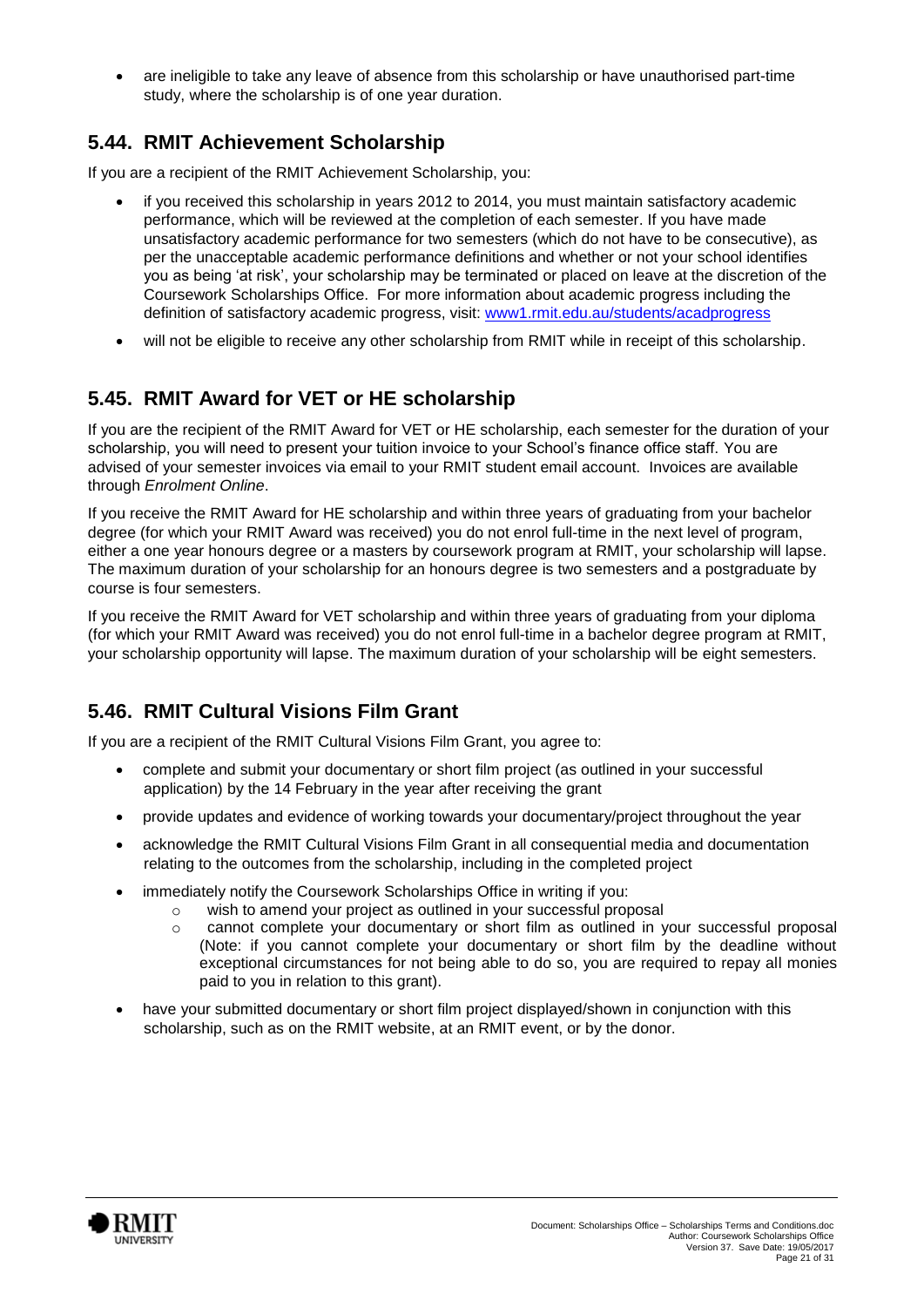are ineligible to take any leave of absence from this scholarship or have unauthorised part-time study, where the scholarship is of one year duration.

### **5.44. RMIT Achievement Scholarship**

If you are a recipient of the RMIT Achievement Scholarship, you:

- if you received this scholarship in years 2012 to 2014, you must maintain satisfactory academic performance, which will be reviewed at the completion of each semester. If you have made unsatisfactory academic performance for two semesters (which do not have to be consecutive), as per the unacceptable academic performance definitions and whether or not your school identifies you as being 'at risk', your scholarship may be terminated or placed on leave at the discretion of the Coursework Scholarships Office. For more information about academic progress including the definition of satisfactory academic progress, visit: [www1.rmit.edu.au/students/acadprogress](http://www.rmit.edu.au/students/academicprogress)
- will not be eligible to receive any other scholarship from RMIT while in receipt of this scholarship.

### **5.45. RMIT Award for VET or HE scholarship**

If you are the recipient of the RMIT Award for VET or HE scholarship, each semester for the duration of your scholarship, you will need to present your tuition invoice to your School's finance office staff. You are advised of your semester invoices via email to your RMIT student email account. Invoices are available through *Enrolment Online*.

If you receive the RMIT Award for HE scholarship and within three years of graduating from your bachelor degree (for which your RMIT Award was received) you do not enrol full-time in the next level of program, either a one year honours degree or a masters by coursework program at RMIT, your scholarship will lapse. The maximum duration of your scholarship for an honours degree is two semesters and a postgraduate by course is four semesters.

If you receive the RMIT Award for VET scholarship and within three years of graduating from your diploma (for which your RMIT Award was received) you do not enrol full-time in a bachelor degree program at RMIT, your scholarship opportunity will lapse. The maximum duration of your scholarship will be eight semesters.

### **5.46. RMIT Cultural Visions Film Grant**

If you are a recipient of the RMIT Cultural Visions Film Grant, you agree to:

- complete and submit your documentary or short film project (as outlined in your successful application) by the 14 February in the year after receiving the grant
- provide updates and evidence of working towards your documentary/project throughout the year
- acknowledge the RMIT Cultural Visions Film Grant in all consequential media and documentation relating to the outcomes from the scholarship, including in the completed project
- immediately notify the Coursework Scholarships Office in writing if you:
	- o wish to amend your project as outlined in your successful proposal
	- o cannot complete your documentary or short film as outlined in your successful proposal (Note: if you cannot complete your documentary or short film by the deadline without exceptional circumstances for not being able to do so, you are required to repay all monies paid to you in relation to this grant).
- have your submitted documentary or short film project displayed/shown in conjunction with this scholarship, such as on the RMIT website, at an RMIT event, or by the donor.

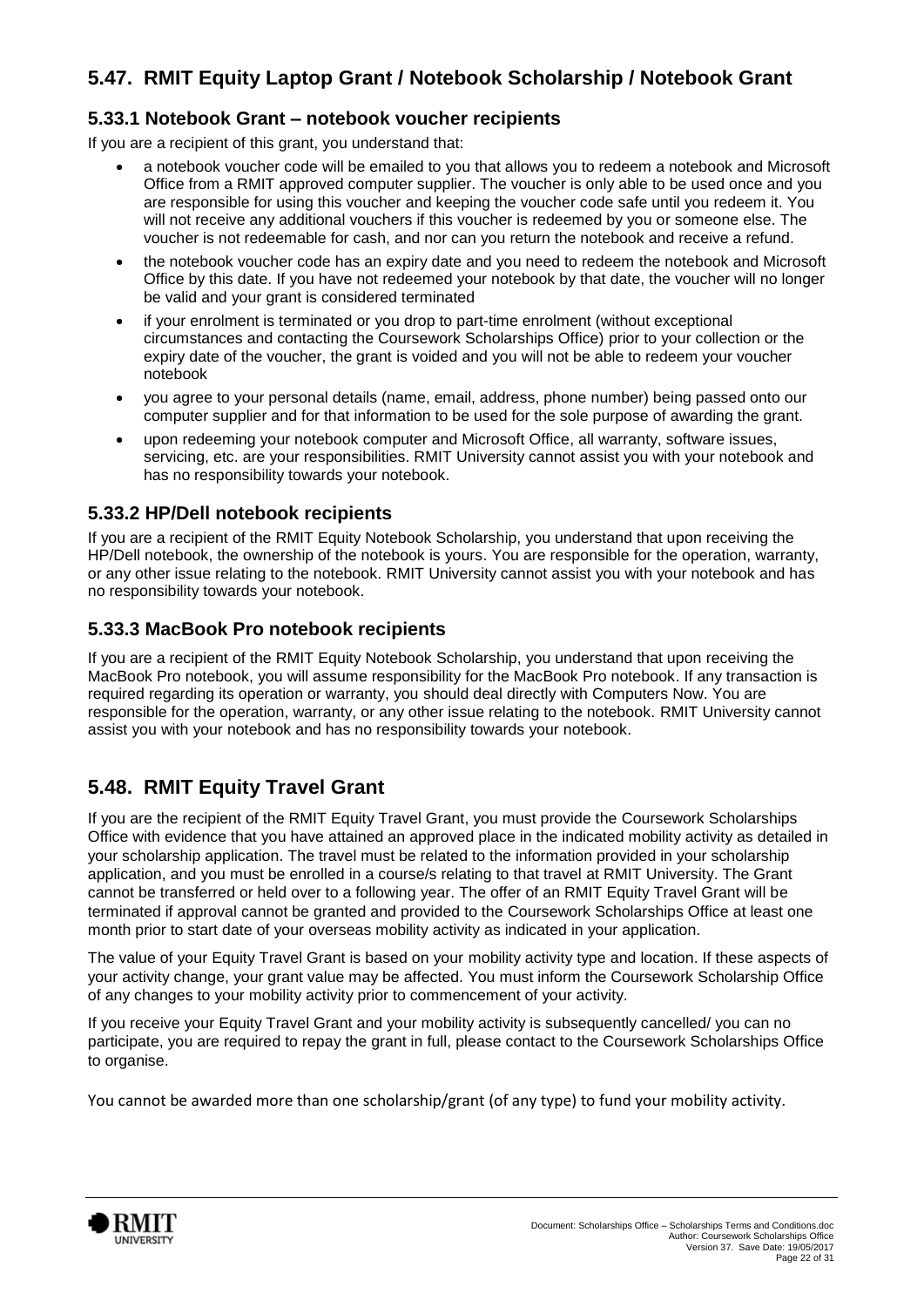### **5.47. RMIT Equity Laptop Grant / Notebook Scholarship / Notebook Grant**

#### **5.33.1 Notebook Grant – notebook voucher recipients**

If you are a recipient of this grant, you understand that:

- a notebook voucher code will be emailed to you that allows you to redeem a notebook and Microsoft Office from a RMIT approved computer supplier. The voucher is only able to be used once and you are responsible for using this voucher and keeping the voucher code safe until you redeem it. You will not receive any additional vouchers if this voucher is redeemed by you or someone else. The voucher is not redeemable for cash, and nor can you return the notebook and receive a refund.
- the notebook voucher code has an expiry date and you need to redeem the notebook and Microsoft Office by this date. If you have not redeemed your notebook by that date, the voucher will no longer be valid and your grant is considered terminated
- if your enrolment is terminated or you drop to part-time enrolment (without exceptional circumstances and contacting the Coursework Scholarships Office) prior to your collection or the expiry date of the voucher, the grant is voided and you will not be able to redeem your voucher notebook
- you agree to your personal details (name, email, address, phone number) being passed onto our computer supplier and for that information to be used for the sole purpose of awarding the grant.
- upon redeeming your notebook computer and Microsoft Office, all warranty, software issues, servicing, etc. are your responsibilities. RMIT University cannot assist you with your notebook and has no responsibility towards your notebook.

#### **5.33.2 HP/Dell notebook recipients**

If you are a recipient of the RMIT Equity Notebook Scholarship, you understand that upon receiving the HP/Dell notebook, the ownership of the notebook is yours. You are responsible for the operation, warranty, or any other issue relating to the notebook. RMIT University cannot assist you with your notebook and has no responsibility towards your notebook.

#### **5.33.3 MacBook Pro notebook recipients**

If you are a recipient of the RMIT Equity Notebook Scholarship, you understand that upon receiving the MacBook Pro notebook, you will assume responsibility for the MacBook Pro notebook. If any transaction is required regarding its operation or warranty, you should deal directly with Computers Now. You are responsible for the operation, warranty, or any other issue relating to the notebook. RMIT University cannot assist you with your notebook and has no responsibility towards your notebook.

### **5.48. RMIT Equity Travel Grant**

If you are the recipient of the RMIT Equity Travel Grant, you must provide the Coursework Scholarships Office with evidence that you have attained an approved place in the indicated mobility activity as detailed in your scholarship application. The travel must be related to the information provided in your scholarship application, and you must be enrolled in a course/s relating to that travel at RMIT University. The Grant cannot be transferred or held over to a following year. The offer of an RMIT Equity Travel Grant will be terminated if approval cannot be granted and provided to the Coursework Scholarships Office at least one month prior to start date of your overseas mobility activity as indicated in your application.

The value of your Equity Travel Grant is based on your mobility activity type and location. If these aspects of your activity change, your grant value may be affected. You must inform the Coursework Scholarship Office of any changes to your mobility activity prior to commencement of your activity.

If you receive your Equity Travel Grant and your mobility activity is subsequently cancelled/ you can no participate, you are required to repay the grant in full, please contact to the Coursework Scholarships Office to organise.

You cannot be awarded more than one scholarship/grant (of any type) to fund your mobility activity.

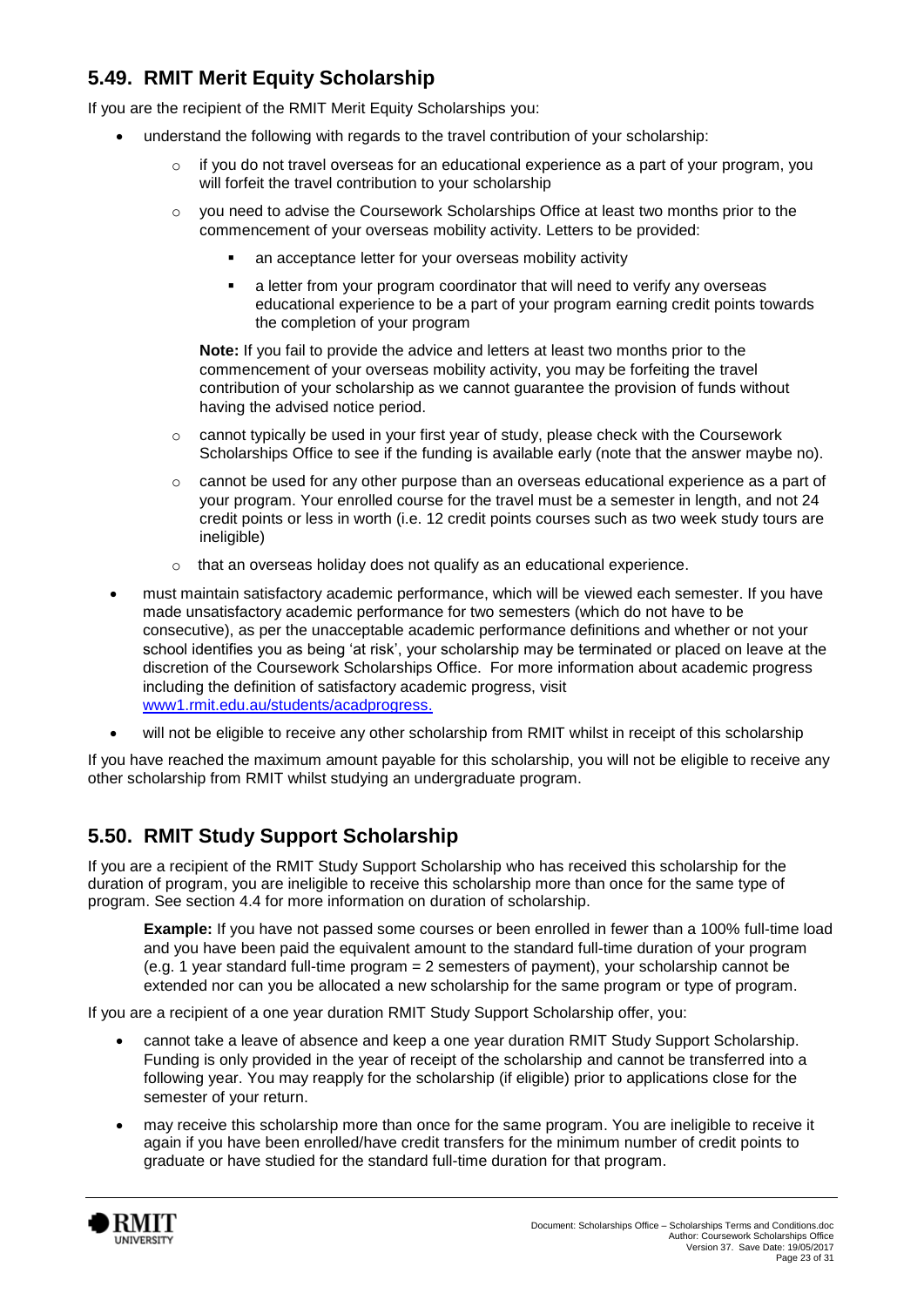# **5.49. RMIT Merit Equity Scholarship**

If you are the recipient of the RMIT Merit Equity Scholarships you:

- understand the following with regards to the travel contribution of your scholarship:
	- if you do not travel overseas for an educational experience as a part of your program, you will forfeit the travel contribution to your scholarship
	- o you need to advise the Coursework Scholarships Office at least two months prior to the commencement of your overseas mobility activity. Letters to be provided:
		- an acceptance letter for your overseas mobility activity
		- a letter from your program coordinator that will need to verify any overseas educational experience to be a part of your program earning credit points towards the completion of your program

**Note:** If you fail to provide the advice and letters at least two months prior to the commencement of your overseas mobility activity, you may be forfeiting the travel contribution of your scholarship as we cannot guarantee the provision of funds without having the advised notice period.

- $\circ$  cannot typically be used in your first year of study, please check with the Coursework Scholarships Office to see if the funding is available early (note that the answer maybe no).
- $\circ$  cannot be used for any other purpose than an overseas educational experience as a part of your program. Your enrolled course for the travel must be a semester in length, and not 24 credit points or less in worth (i.e. 12 credit points courses such as two week study tours are ineligible)
- o that an overseas holiday does not qualify as an educational experience.
- must maintain satisfactory academic performance, which will be viewed each semester. If you have made unsatisfactory academic performance for two semesters (which do not have to be consecutive), as per the unacceptable academic performance definitions and whether or not your school identifies you as being 'at risk', your scholarship may be terminated or placed on leave at the discretion of the Coursework Scholarships Office. For more information about academic progress including the definition of satisfactory academic progress, visit [www1.rmit.edu.au/students/acadprogress.](http://www.rmit.edu.au/students/academicprogress)
- will not be eligible to receive any other scholarship from RMIT whilst in receipt of this scholarship

If you have reached the maximum amount payable for this scholarship, you will not be eligible to receive any other scholarship from RMIT whilst studying an undergraduate program.

### **5.50. RMIT Study Support Scholarship**

If you are a recipient of the RMIT Study Support Scholarship who has received this scholarship for the duration of program, you are ineligible to receive this scholarship more than once for the same type of program. See section 4.4 for more information on duration of scholarship.

**Example:** If you have not passed some courses or been enrolled in fewer than a 100% full-time load and you have been paid the equivalent amount to the standard full-time duration of your program (e.g. 1 year standard full-time program  $= 2$  semesters of payment), your scholarship cannot be extended nor can you be allocated a new scholarship for the same program or type of program.

If you are a recipient of a one year duration RMIT Study Support Scholarship offer, you:

- cannot take a leave of absence and keep a one year duration RMIT Study Support Scholarship. Funding is only provided in the year of receipt of the scholarship and cannot be transferred into a following year. You may reapply for the scholarship (if eligible) prior to applications close for the semester of your return.
- may receive this scholarship more than once for the same program. You are ineligible to receive it again if you have been enrolled/have credit transfers for the minimum number of credit points to graduate or have studied for the standard full-time duration for that program.

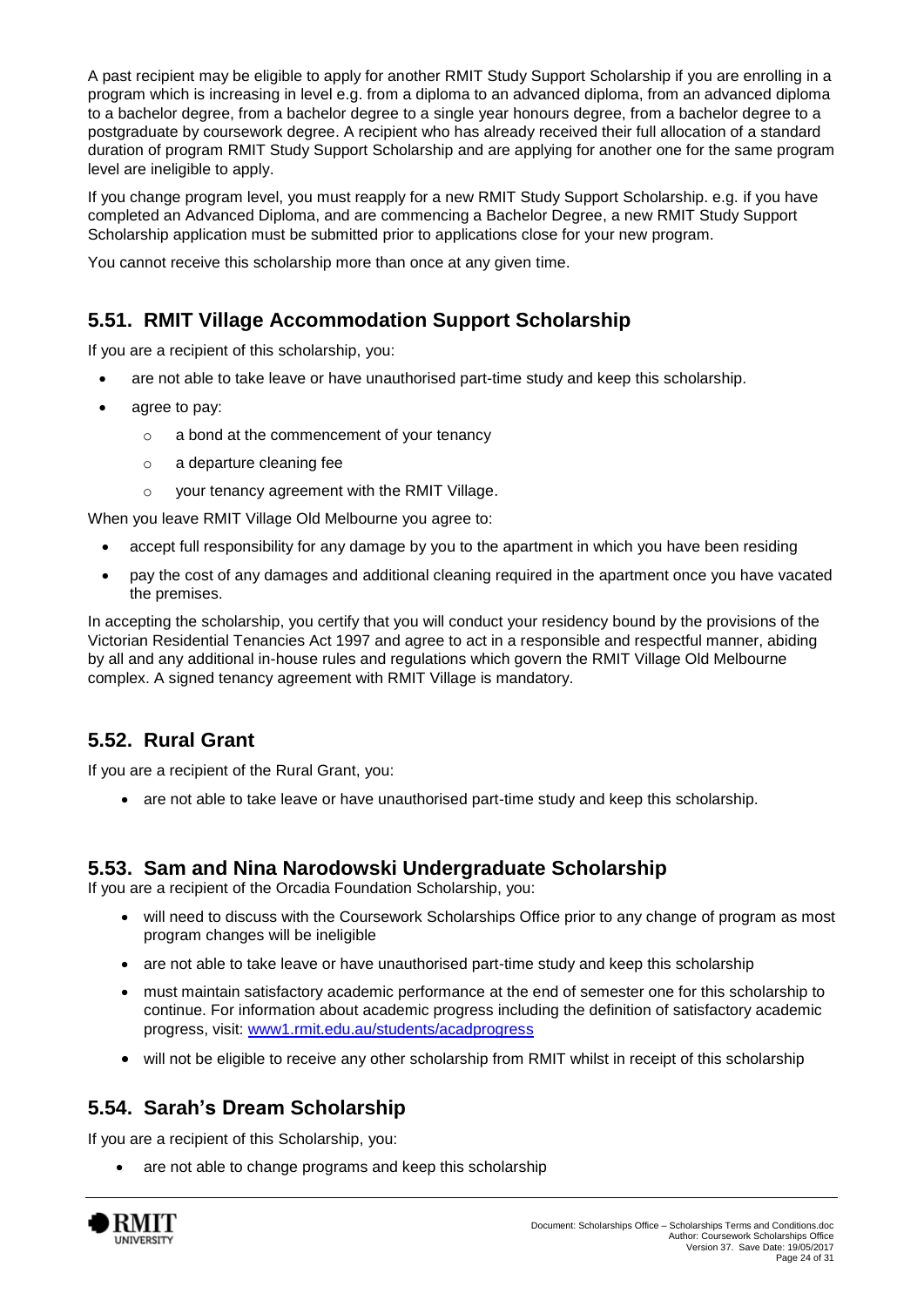A past recipient may be eligible to apply for another RMIT Study Support Scholarship if you are enrolling in a program which is increasing in level e.g. from a diploma to an advanced diploma, from an advanced diploma to a bachelor degree, from a bachelor degree to a single year honours degree, from a bachelor degree to a postgraduate by coursework degree. A recipient who has already received their full allocation of a standard duration of program RMIT Study Support Scholarship and are applying for another one for the same program level are ineligible to apply.

If you change program level, you must reapply for a new RMIT Study Support Scholarship. e.g. if you have completed an Advanced Diploma, and are commencing a Bachelor Degree, a new RMIT Study Support Scholarship application must be submitted prior to applications close for your new program.

You cannot receive this scholarship more than once at any given time.

### **5.51. RMIT Village Accommodation Support Scholarship**

If you are a recipient of this scholarship, you:

- are not able to take leave or have unauthorised part-time study and keep this scholarship.
- agree to pay:
	- o a bond at the commencement of your tenancy
	- o a departure cleaning fee
	- o your tenancy agreement with the RMIT Village.

When you leave RMIT Village Old Melbourne you agree to:

- accept full responsibility for any damage by you to the apartment in which you have been residing
- pay the cost of any damages and additional cleaning required in the apartment once you have vacated the premises.

In accepting the scholarship, you certify that you will conduct your residency bound by the provisions of the Victorian Residential Tenancies Act 1997 and agree to act in a responsible and respectful manner, abiding by all and any additional in-house rules and regulations which govern the RMIT Village Old Melbourne complex. A signed tenancy agreement with RMIT Village is mandatory.

### **5.52. Rural Grant**

If you are a recipient of the Rural Grant, you:

• are not able to take leave or have unauthorised part-time study and keep this scholarship.

#### **5.53. Sam and Nina Narodowski Undergraduate Scholarship**

If you are a recipient of the Orcadia Foundation Scholarship, you:

- will need to discuss with the Coursework Scholarships Office prior to any change of program as most program changes will be ineligible
- are not able to take leave or have unauthorised part-time study and keep this scholarship
- must maintain satisfactory academic performance at the end of semester one for this scholarship to continue. For information about academic progress including the definition of satisfactory academic progress, visit: [www1.rmit.edu.au/students/acadprogress](http://www.rmit.edu.au/students/academicprogress)
- will not be eligible to receive any other scholarship from RMIT whilst in receipt of this scholarship

### **5.54. Sarah's Dream Scholarship**

If you are a recipient of this Scholarship, you:

are not able to change programs and keep this scholarship

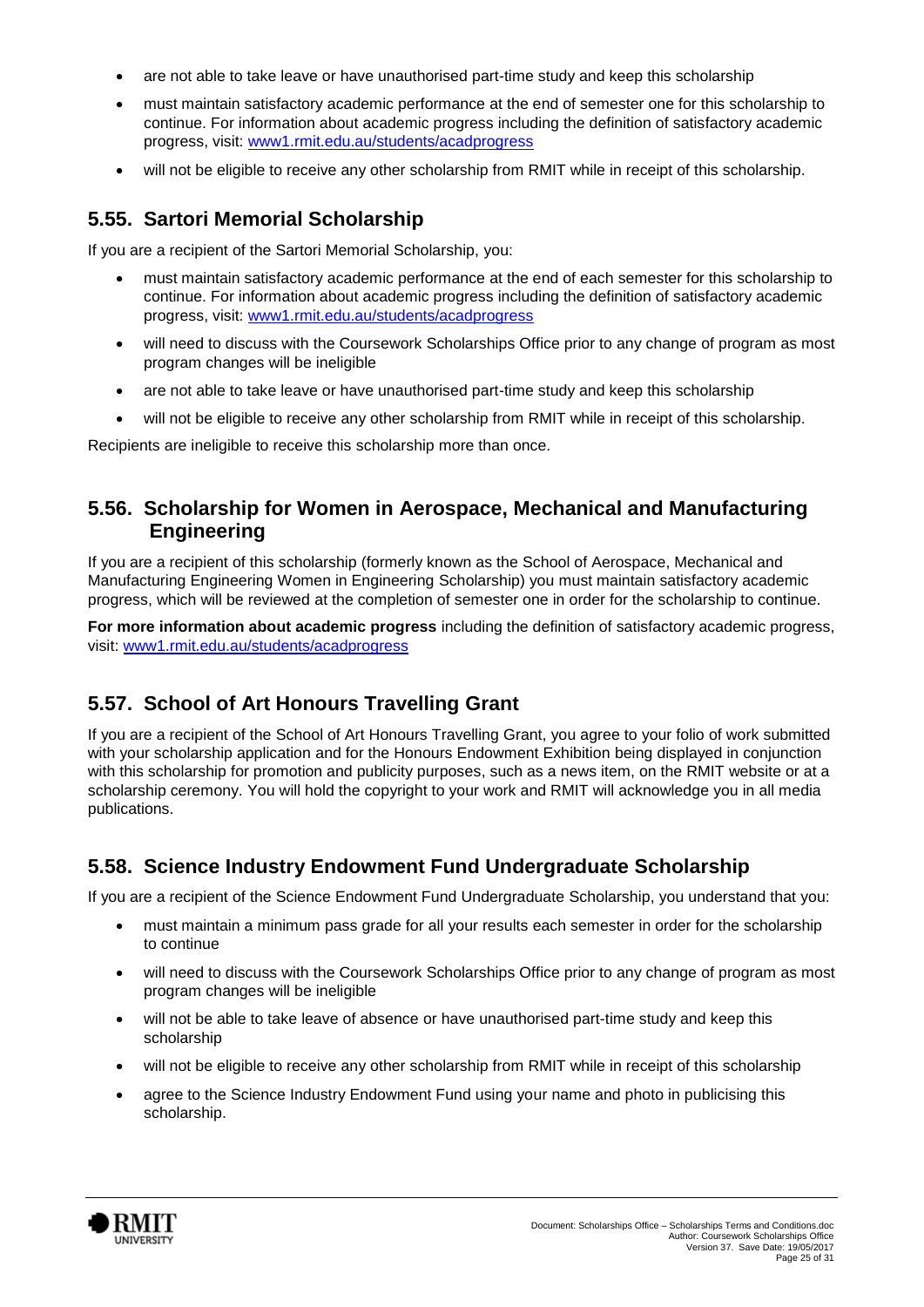- are not able to take leave or have unauthorised part-time study and keep this scholarship
- must maintain satisfactory academic performance at the end of semester one for this scholarship to continue. For information about academic progress including the definition of satisfactory academic progress, visit: [www1.rmit.edu.au/students/acadprogress](http://www.rmit.edu.au/students/academicprogress)
- will not be eligible to receive any other scholarship from RMIT while in receipt of this scholarship.

#### **5.55. Sartori Memorial Scholarship**

If you are a recipient of the Sartori Memorial Scholarship, you:

- must maintain satisfactory academic performance at the end of each semester for this scholarship to continue. For information about academic progress including the definition of satisfactory academic progress, visit: [www1.rmit.edu.au/students/acadprogress](http://www.rmit.edu.au/students/academicprogress)
- will need to discuss with the Coursework Scholarships Office prior to any change of program as most program changes will be ineligible
- are not able to take leave or have unauthorised part-time study and keep this scholarship
- will not be eligible to receive any other scholarship from RMIT while in receipt of this scholarship.

Recipients are ineligible to receive this scholarship more than once.

### **5.56. Scholarship for Women in Aerospace, Mechanical and Manufacturing Engineering**

If you are a recipient of this scholarship (formerly known as the School of Aerospace, Mechanical and Manufacturing Engineering Women in Engineering Scholarship) you must maintain satisfactory academic progress, which will be reviewed at the completion of semester one in order for the scholarship to continue.

**For more information about academic progress** including the definition of satisfactory academic progress, visit: [www1.rmit.edu.au/students/acadprogress](http://www.rmit.edu.au/students/academicprogress)

### **5.57. School of Art Honours Travelling Grant**

If you are a recipient of the School of Art Honours Travelling Grant, you agree to your folio of work submitted with your scholarship application and for the Honours Endowment Exhibition being displayed in conjunction with this scholarship for promotion and publicity purposes, such as a news item, on the RMIT website or at a scholarship ceremony. You will hold the copyright to your work and RMIT will acknowledge you in all media publications.

### **5.58. Science Industry Endowment Fund Undergraduate Scholarship**

If you are a recipient of the Science Endowment Fund Undergraduate Scholarship, you understand that you:

- must maintain a minimum pass grade for all your results each semester in order for the scholarship to continue
- will need to discuss with the Coursework Scholarships Office prior to any change of program as most program changes will be ineligible
- will not be able to take leave of absence or have unauthorised part-time study and keep this scholarship
- will not be eligible to receive any other scholarship from RMIT while in receipt of this scholarship
- agree to the Science Industry Endowment Fund using your name and photo in publicising this scholarship.

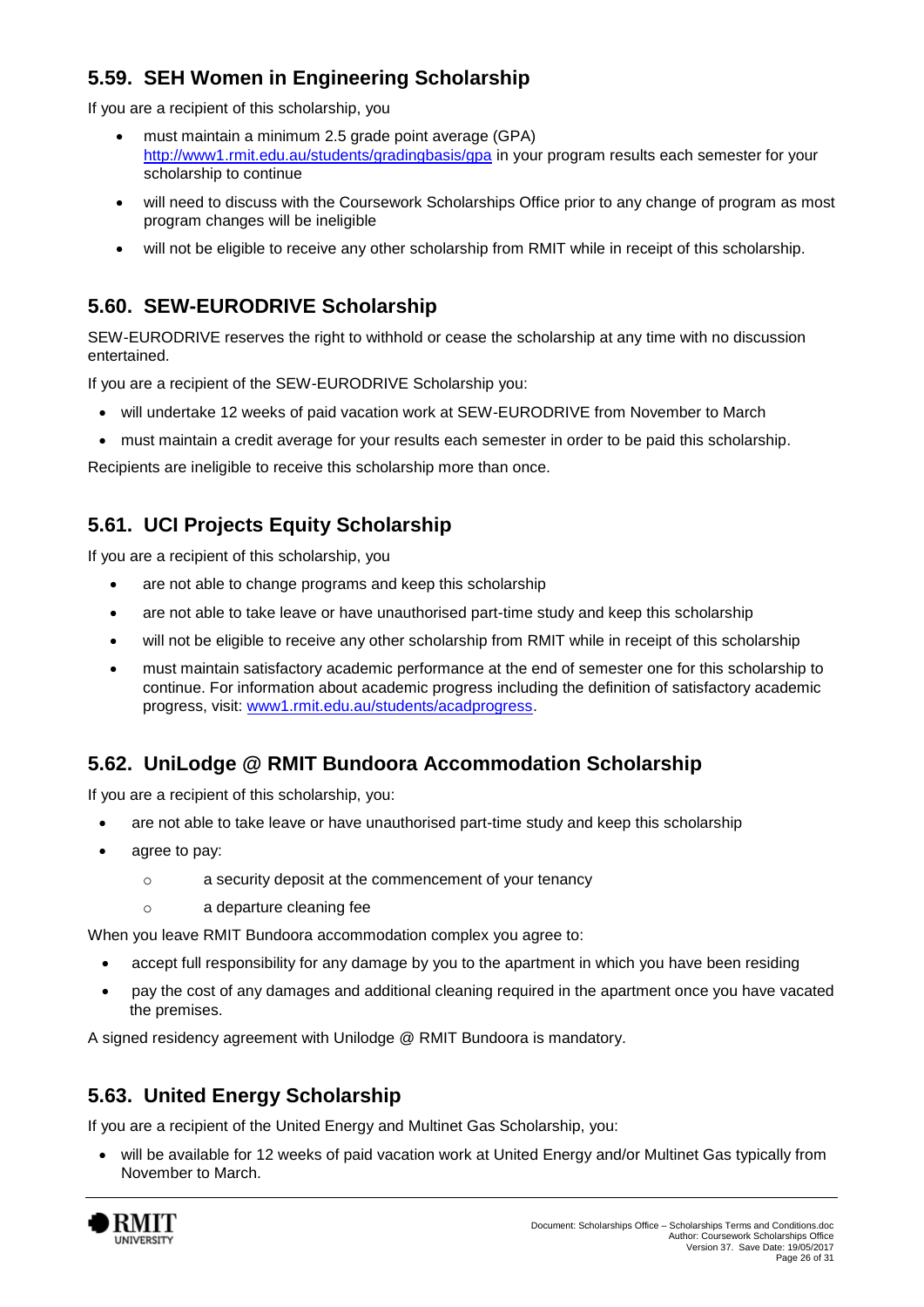# **5.59. SEH Women in Engineering Scholarship**

If you are a recipient of this scholarship, you

- must maintain a minimum 2.5 grade point average (GPA) <http://www1.rmit.edu.au/students/gradingbasis/gpa> in your program results each semester for your scholarship to continue
- will need to discuss with the Coursework Scholarships Office prior to any change of program as most program changes will be ineligible
- will not be eligible to receive any other scholarship from RMIT while in receipt of this scholarship.

# **5.60. SEW-EURODRIVE Scholarship**

SEW-EURODRIVE reserves the right to withhold or cease the scholarship at any time with no discussion entertained.

If you are a recipient of the SEW-EURODRIVE Scholarship you:

- will undertake 12 weeks of paid vacation work at SEW-EURODRIVE from November to March
- must maintain a credit average for your results each semester in order to be paid this scholarship.

Recipients are ineligible to receive this scholarship more than once.

# **5.61. UCI Projects Equity Scholarship**

If you are a recipient of this scholarship, you

- are not able to change programs and keep this scholarship
- are not able to take leave or have unauthorised part-time study and keep this scholarship
- will not be eligible to receive any other scholarship from RMIT while in receipt of this scholarship
- must maintain satisfactory academic performance at the end of semester one for this scholarship to continue. For information about academic progress including the definition of satisfactory academic progress, visit: [www1.rmit.edu.au/students/acadprogress.](http://www.rmit.edu.au/students/academicprogress)

### **5.62. UniLodge @ RMIT Bundoora Accommodation Scholarship**

If you are a recipient of this scholarship, you:

- are not able to take leave or have unauthorised part-time study and keep this scholarship
- agree to pay:
	- o a security deposit at the commencement of your tenancy
	- o a departure cleaning fee

When you leave RMIT Bundoora accommodation complex you agree to:

- accept full responsibility for any damage by you to the apartment in which you have been residing
- pay the cost of any damages and additional cleaning required in the apartment once you have vacated the premises.

A signed residency agreement with Unilodge @ RMIT Bundoora is mandatory.

### **5.63. United Energy Scholarship**

If you are a recipient of the United Energy and Multinet Gas Scholarship, you:

 will be available for 12 weeks of paid vacation work at United Energy and/or Multinet Gas typically from November to March.

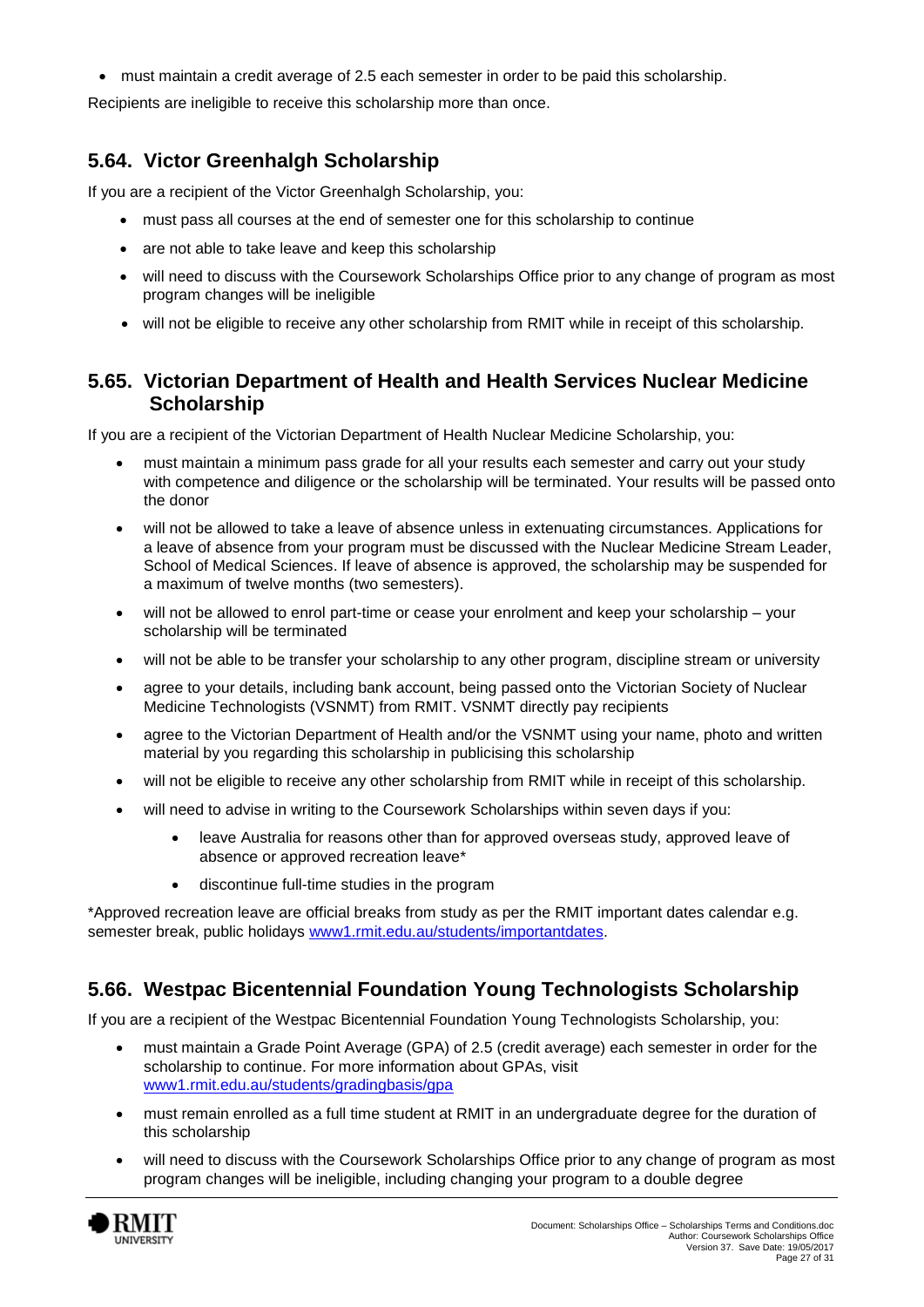must maintain a credit average of 2.5 each semester in order to be paid this scholarship.

Recipients are ineligible to receive this scholarship more than once.

### **5.64. Victor Greenhalgh Scholarship**

If you are a recipient of the Victor Greenhalgh Scholarship, you:

- must pass all courses at the end of semester one for this scholarship to continue
- are not able to take leave and keep this scholarship
- will need to discuss with the Coursework Scholarships Office prior to any change of program as most program changes will be ineligible
- will not be eligible to receive any other scholarship from RMIT while in receipt of this scholarship.

#### **5.65. Victorian Department of Health and Health Services Nuclear Medicine Scholarship**

If you are a recipient of the Victorian Department of Health Nuclear Medicine Scholarship, you:

- must maintain a minimum pass grade for all your results each semester and carry out your study with competence and diligence or the scholarship will be terminated. Your results will be passed onto the donor
- will not be allowed to take a leave of absence unless in extenuating circumstances. Applications for a leave of absence from your program must be discussed with the Nuclear Medicine Stream Leader, School of Medical Sciences. If leave of absence is approved, the scholarship may be suspended for a maximum of twelve months (two semesters).
- will not be allowed to enrol part-time or cease your enrolment and keep your scholarship your scholarship will be terminated
- will not be able to be transfer your scholarship to any other program, discipline stream or university
- agree to your details, including bank account, being passed onto the Victorian Society of Nuclear Medicine Technologists (VSNMT) from RMIT. VSNMT directly pay recipients
- agree to the Victorian Department of Health and/or the VSNMT using your name, photo and written material by you regarding this scholarship in publicising this scholarship
- will not be eligible to receive any other scholarship from RMIT while in receipt of this scholarship.
- will need to advise in writing to the Coursework Scholarships within seven days if you:
	- leave Australia for reasons other than for approved overseas study, approved leave of absence or approved recreation leave\*
	- discontinue full-time studies in the program

\*Approved recreation leave are official breaks from study as per the RMIT important dates calendar e.g. semester break, public holidays [www1.rmit.edu.au/students/importantdates.](http://www.rmit.edu.au/students/importantdates)

### **5.66. Westpac Bicentennial Foundation Young Technologists Scholarship**

If you are a recipient of the Westpac Bicentennial Foundation Young Technologists Scholarship, you:

- must maintain a Grade Point Average (GPA) of 2.5 (credit average) each semester in order for the scholarship to continue. For more information about GPAs, visit [www1.rmit.edu.au/students/gradingbasis/gpa](http://www.rmit.edu.au/students/gradingbasis/gpa)
- must remain enrolled as a full time student at RMIT in an undergraduate degree for the duration of this scholarship
- will need to discuss with the Coursework Scholarships Office prior to any change of program as most program changes will be ineligible, including changing your program to a double degree

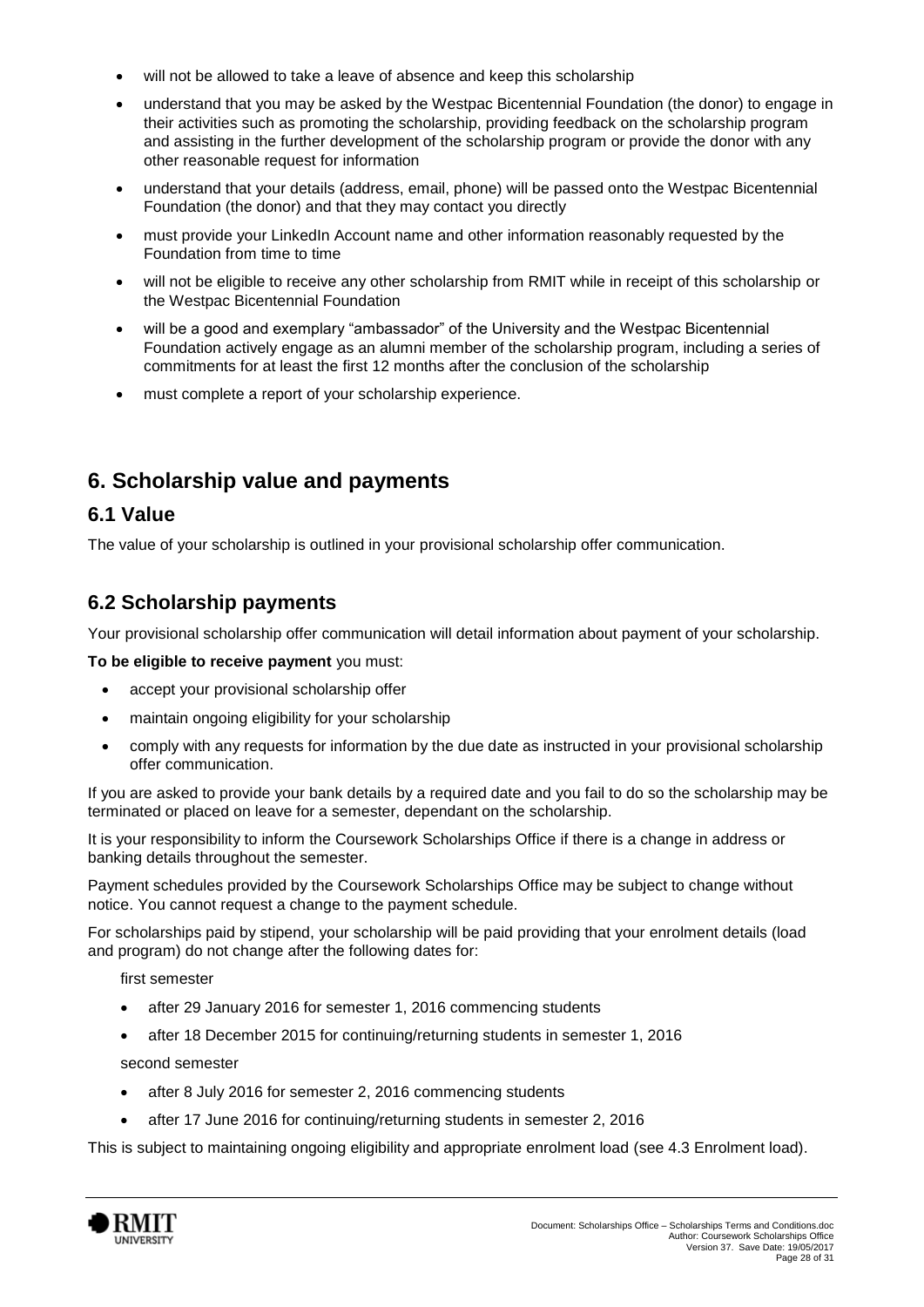- will not be allowed to take a leave of absence and keep this scholarship
- understand that you may be asked by the Westpac Bicentennial Foundation (the donor) to engage in their activities such as promoting the scholarship, providing feedback on the scholarship program and assisting in the further development of the scholarship program or provide the donor with any other reasonable request for information
- understand that your details (address, email, phone) will be passed onto the Westpac Bicentennial Foundation (the donor) and that they may contact you directly
- must provide your LinkedIn Account name and other information reasonably requested by the Foundation from time to time
- will not be eligible to receive any other scholarship from RMIT while in receipt of this scholarship or the Westpac Bicentennial Foundation
- will be a good and exemplary "ambassador" of the University and the Westpac Bicentennial Foundation actively engage as an alumni member of the scholarship program, including a series of commitments for at least the first 12 months after the conclusion of the scholarship
- must complete a report of your scholarship experience.

# <span id="page-27-0"></span>**6. Scholarship value and payments**

### **6.1 Value**

The value of your scholarship is outlined in your provisional scholarship offer communication.

### **6.2 Scholarship payments**

Your provisional scholarship offer communication will detail information about payment of your scholarship.

#### **To be eligible to receive payment** you must:

- accept your provisional scholarship offer
- maintain ongoing eligibility for your scholarship
- comply with any requests for information by the due date as instructed in your provisional scholarship offer communication.

If you are asked to provide your bank details by a required date and you fail to do so the scholarship may be terminated or placed on leave for a semester, dependant on the scholarship.

It is your responsibility to inform the Coursework Scholarships Office if there is a change in address or banking details throughout the semester.

Payment schedules provided by the Coursework Scholarships Office may be subject to change without notice. You cannot request a change to the payment schedule.

For scholarships paid by stipend, your scholarship will be paid providing that your enrolment details (load and program) do not change after the following dates for:

first semester

- after 29 January 2016 for semester 1, 2016 commencing students
- after 18 December 2015 for continuing/returning students in semester 1, 2016

second semester

- after 8 July 2016 for semester 2, 2016 commencing students
- after 17 June 2016 for continuing/returning students in semester 2, 2016

This is subject to maintaining ongoing eligibility and appropriate enrolment load (see 4.3 Enrolment load).

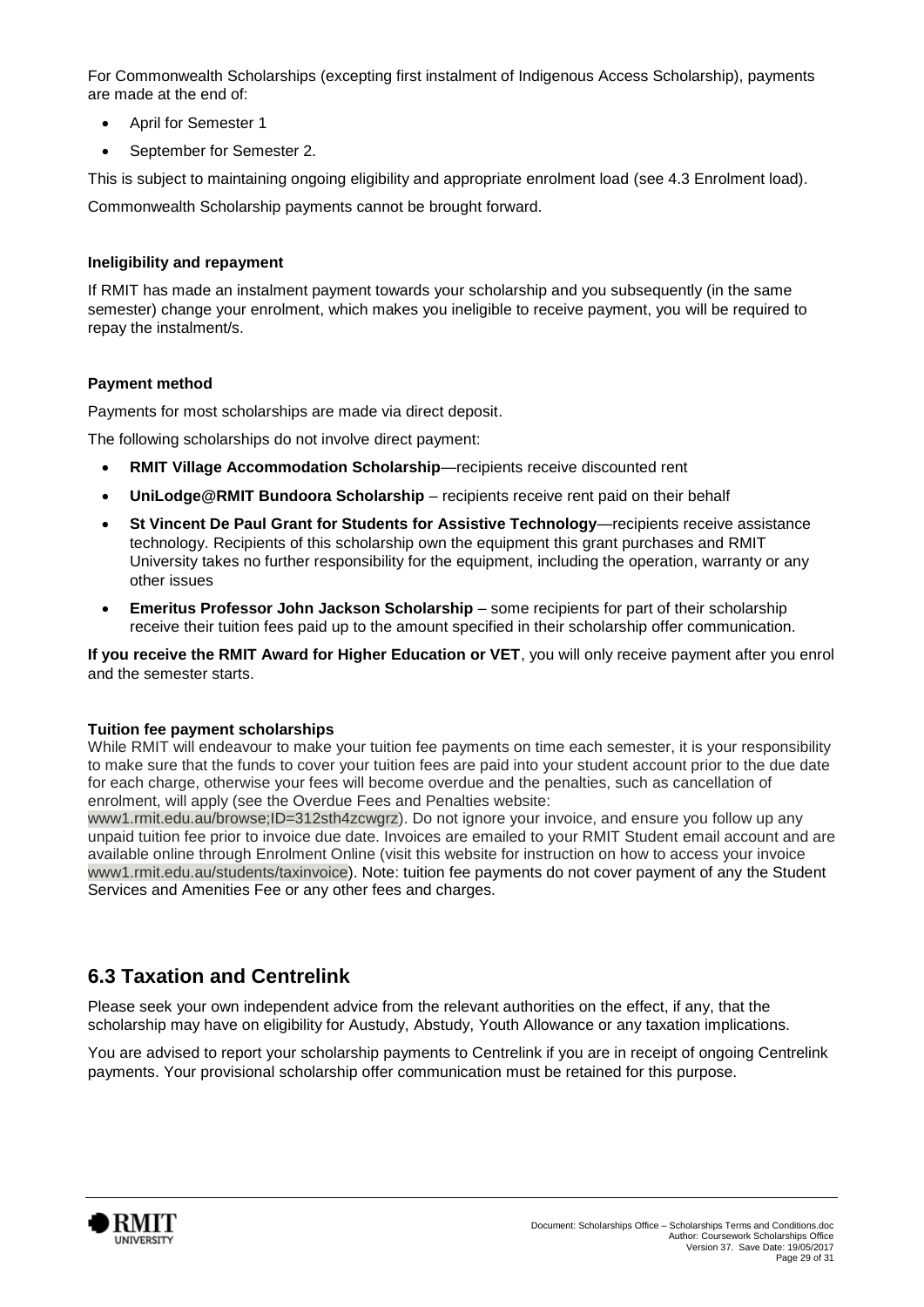For Commonwealth Scholarships (excepting first instalment of Indigenous Access Scholarship), payments are made at the end of:

- April for Semester 1
- September for Semester 2.

This is subject to maintaining ongoing eligibility and appropriate enrolment load (see 4.3 Enrolment load).

Commonwealth Scholarship payments cannot be brought forward.

#### **Ineligibility and repayment**

If RMIT has made an instalment payment towards your scholarship and you subsequently (in the same semester) change your enrolment, which makes you ineligible to receive payment, you will be required to repay the instalment/s.

#### **Payment method**

Payments for most scholarships are made via direct deposit.

The following scholarships do not involve direct payment:

- **RMIT Village Accommodation Scholarship**—recipients receive discounted rent
- **UniLodge@RMIT Bundoora Scholarship**  recipients receive rent paid on their behalf
- **St Vincent De Paul Grant for Students for Assistive Technology**—recipients receive assistance technology. Recipients of this scholarship own the equipment this grant purchases and RMIT University takes no further responsibility for the equipment, including the operation, warranty or any other issues
- **Emeritus Professor John Jackson Scholarship** some recipients for part of their scholarship receive their tuition fees paid up to the amount specified in their scholarship offer communication.

**If you receive the RMIT Award for Higher Education or VET**, you will only receive payment after you enrol and the semester starts.

#### **Tuition fee payment scholarships**

While RMIT will endeavour to make your tuition fee payments on time each semester, it is your responsibility to make sure that the funds to cover your tuition fees are paid into your student account prior to the due date for each charge, otherwise your fees will become overdue and the penalties, such as cancellation of enrolment, will apply (see the Overdue Fees and Penalties website:

www1.rmit.edu.au/browse;ID=312sth4zcwgrz). Do not ignore your invoice, and ensure you follow up any unpaid tuition fee prior to invoice due date. Invoices are emailed to your RMIT Student email account and are available online through Enrolment Online (visit this website for instruction on how to access your invoice www1.rmit.edu.au/students/taxinvoice). Note: tuition fee payments do not cover payment of any the Student Services and Amenities Fee or any other fees and charges.

### **6.3 Taxation and Centrelink**

Please seek your own independent advice from the relevant authorities on the effect, if any, that the scholarship may have on eligibility for Austudy, Abstudy, Youth Allowance or any taxation implications.

You are advised to report your scholarship payments to Centrelink if you are in receipt of ongoing Centrelink payments. Your provisional scholarship offer communication must be retained for this purpose.

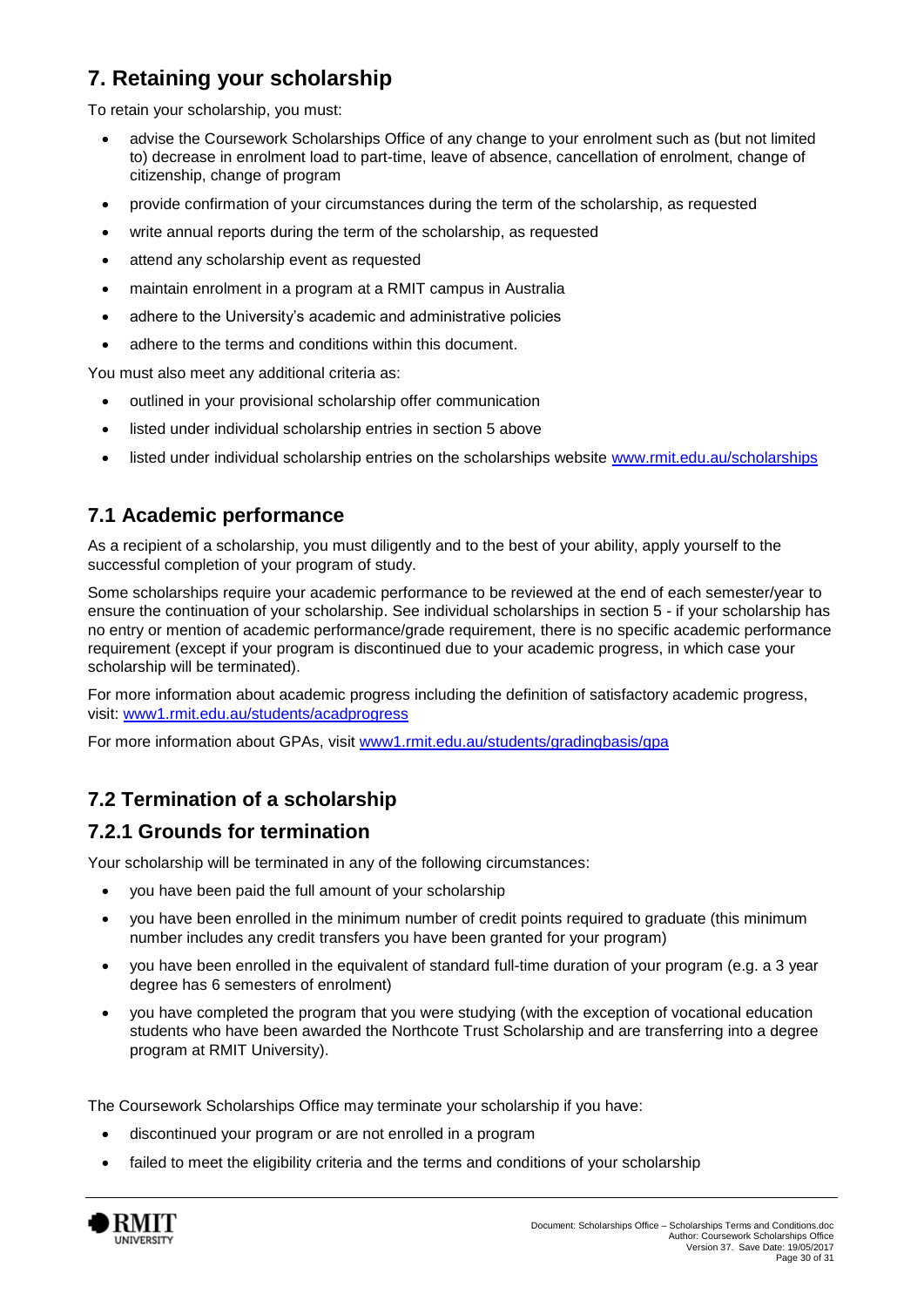# <span id="page-29-0"></span>**7. Retaining your scholarship**

To retain your scholarship, you must:

- advise the Coursework Scholarships Office of any change to your enrolment such as (but not limited to) decrease in enrolment load to part-time, leave of absence, cancellation of enrolment, change of citizenship, change of program
- provide confirmation of your circumstances during the term of the scholarship, as requested
- write annual reports during the term of the scholarship, as requested
- attend any scholarship event as requested
- maintain enrolment in a program at a RMIT campus in Australia
- adhere to the University's academic and administrative policies
- adhere to the terms and conditions within this document.

You must also meet any additional criteria as:

- outlined in your provisional scholarship offer communication
- listed under individual scholarship entries in section 5 above
- listed under individual scholarship entries on the scholarships website [www.rmit.edu.au/scholarships](http://www.rmit.edu.au/scholarships)

### **7.1 Academic performance**

As a recipient of a scholarship, you must diligently and to the best of your ability, apply yourself to the successful completion of your program of study.

Some scholarships require your academic performance to be reviewed at the end of each semester/year to ensure the continuation of your scholarship. See individual scholarships in section 5 - if your scholarship has no entry or mention of academic performance/grade requirement, there is no specific academic performance requirement (except if your program is discontinued due to your academic progress, in which case your scholarship will be terminated).

For more information about academic progress including the definition of satisfactory academic progress, visit: [www1.rmit.edu.au/students/acadprogress](http://www.rmit.edu.au/students/academicprogress)

For more information about GPAs, visit [www1.rmit.edu.au/students/gradingbasis/gpa](http://www.rmit.edu.au/students/gradingbasis/gpa)

### **7.2 Termination of a scholarship**

### **7.2.1 Grounds for termination**

Your scholarship will be terminated in any of the following circumstances:

- you have been paid the full amount of your scholarship
- you have been enrolled in the minimum number of credit points required to graduate (this minimum number includes any credit transfers you have been granted for your program)
- you have been enrolled in the equivalent of standard full-time duration of your program (e.g. a 3 year degree has 6 semesters of enrolment)
- you have completed the program that you were studying (with the exception of vocational education students who have been awarded the Northcote Trust Scholarship and are transferring into a degree program at RMIT University).

The Coursework Scholarships Office may terminate your scholarship if you have:

- discontinued your program or are not enrolled in a program
- failed to meet the eligibility criteria and the terms and conditions of your scholarship